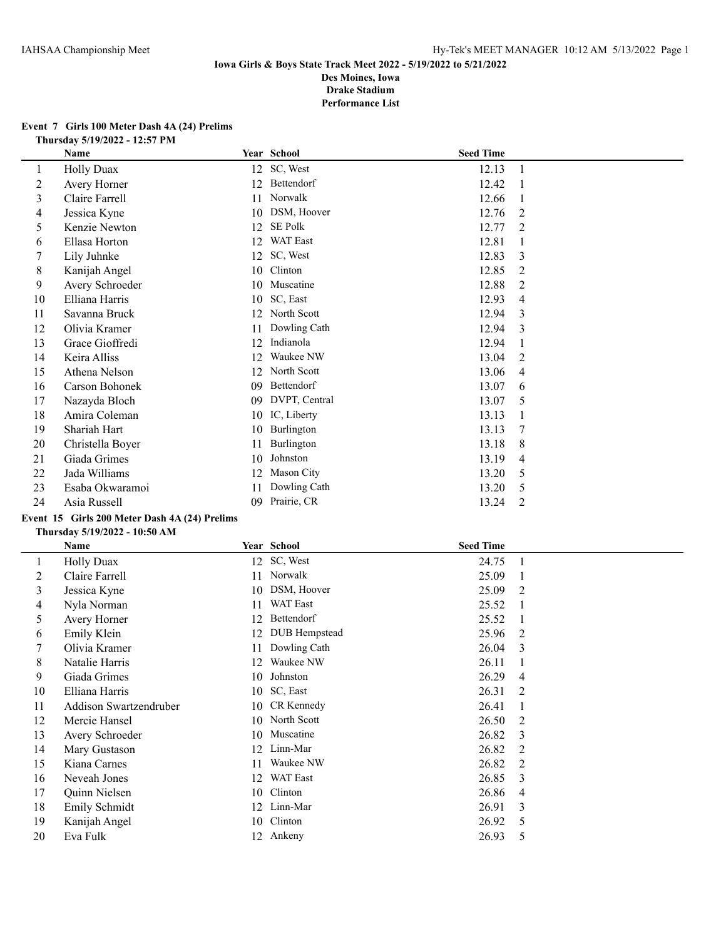### **Event 7 Girls 100 Meter Dash 4A (24) Prelims Thursday 5/19/2022 - 12:57 PM**

|         | Name              |    | Year School     | <b>Seed Time</b> |                |
|---------|-------------------|----|-----------------|------------------|----------------|
| $\perp$ | <b>Holly Duax</b> | 12 | SC, West        | 12.13            | 1              |
| 2       | Avery Horner      | 12 | Bettendorf      | 12.42            |                |
| 3       | Claire Farrell    | 11 | Norwalk         | 12.66            |                |
| 4       | Jessica Kyne      | 10 | DSM, Hoover     | 12.76            | 2              |
| 5       | Kenzie Newton     | 12 | <b>SE Polk</b>  | 12.77            | 2              |
| 6       | Ellasa Horton     | 12 | <b>WAT East</b> | 12.81            |                |
|         | Lily Juhnke       | 12 | SC, West        | 12.83            | 3              |
| 8       | Kanijah Angel     | 10 | Clinton         | 12.85            | 2              |
| 9       | Avery Schroeder   | 10 | Muscatine       | 12.88            | 2              |
| 10      | Elliana Harris    | 10 | SC, East        | 12.93            | 4              |
| 11      | Savanna Bruck     | 12 | North Scott     | 12.94            | 3              |
| 12      | Olivia Kramer     | 11 | Dowling Cath    | 12.94            | 3              |
| 13      | Grace Gioffredi   | 12 | Indianola       | 12.94            |                |
| 14      | Keira Alliss      | 12 | Waukee NW       | 13.04            | 2              |
| 15      | Athena Nelson     | 12 | North Scott     | 13.06            | 4              |
| 16      | Carson Bohonek    | 09 | Bettendorf      | 13.07            | 6              |
| 17      | Nazayda Bloch     | 09 | DVPT, Central   | 13.07            | 5              |
| 18      | Amira Coleman     | 10 | IC, Liberty     | 13.13            |                |
| 19      | Shariah Hart      | 10 | Burlington      | 13.13            | 7              |
| 20      | Christella Boyer  | 11 | Burlington      | 13.18            | 8              |
| 21      | Giada Grimes      | 10 | Johnston        | 13.19            | 4              |
| 22      | Jada Williams     | 12 | Mason City      | 13.20            | 5              |
| 23      | Esaba Okwaramoi   | 11 | Dowling Cath    | 13.20            | 5              |
| 24      | Asia Russell      | 09 | Prairie, CR     | 13.24            | $\overline{2}$ |

# **Event 15 Girls 200 Meter Dash 4A (24) Prelims**

#### **Thursday 5/19/2022 - 10:50 AM**

|    | Name                   |    | Year School     | <b>Seed Time</b> |                |
|----|------------------------|----|-----------------|------------------|----------------|
| 1  | <b>Holly Duax</b>      | 12 | SC, West        | 24.75            |                |
| 2  | Claire Farrell         | 11 | Norwalk         | 25.09            |                |
| 3  | Jessica Kyne           | 10 | DSM, Hoover     | 25.09            | 2              |
| 4  | Nyla Norman            | 11 | <b>WAT East</b> | 25.52            |                |
| 5  | Avery Horner           | 12 | Bettendorf      | 25.52            |                |
| 6  | Emily Klein            | 12 | DUB Hempstead   | 25.96            | 2              |
|    | Olivia Kramer          | 11 | Dowling Cath    | 26.04            | 3              |
| 8  | Natalie Harris         | 12 | Waukee NW       | 26.11            |                |
| 9  | Giada Grimes           | 10 | Johnston        | 26.29            | 4              |
| 10 | Elliana Harris         |    | 10 SC, East     | 26.31            | 2              |
| 11 | Addison Swartzendruber |    | 10 CR Kennedy   | 26.41            |                |
| 12 | Mercie Hansel          |    | 10 North Scott  | 26.50            | 2              |
| 13 | Avery Schroeder        |    | 10 Muscatine    | 26.82            | 3              |
| 14 | Mary Gustason          | 12 | Linn-Mar        | 26.82            | 2              |
| 15 | Kiana Carnes           | 11 | Waukee NW       | 26.82            | 2              |
| 16 | Neveah Jones           | 12 | <b>WAT East</b> | 26.85            | 3              |
| 17 | Quinn Nielsen          | 10 | Clinton         | 26.86            | $\overline{4}$ |
| 18 | Emily Schmidt          | 12 | Linn-Mar        | 26.91            | 3              |
| 19 | Kanijah Angel          | 10 | Clinton         | 26.92            | 5              |
| 20 | Eva Fulk               |    | 12 Ankeny       | 26.93            | 5              |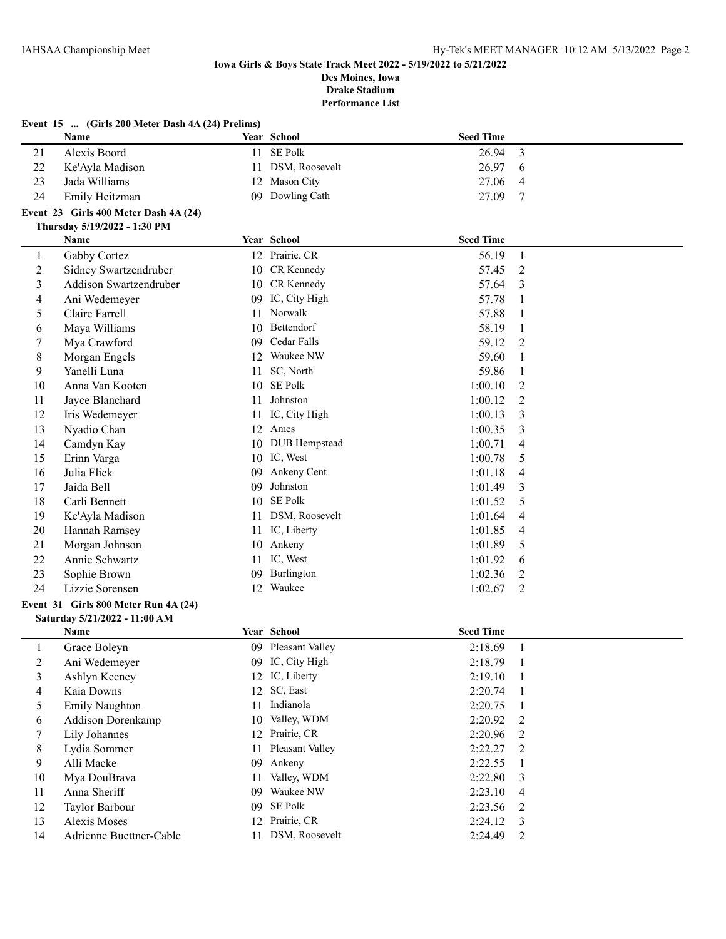|              | Event 15  (Girls 200 Meter Dash 4A (24) Prelims)                      |          |                          |                    |                |
|--------------|-----------------------------------------------------------------------|----------|--------------------------|--------------------|----------------|
|              | Name                                                                  |          | Year School              | <b>Seed Time</b>   |                |
| 21           | Alexis Boord                                                          | 11       | SE Polk                  | 26.94              | 3              |
| 22           | Ke'Ayla Madison                                                       | 11       | DSM, Roosevelt           | 26.97              | 6              |
| 23           | Jada Williams                                                         |          | 12 Mason City            | 27.06              | 4              |
| 24           | Emily Heitzman                                                        | 09       | Dowling Cath             | 27.09              | 7              |
|              | Event 23 Girls 400 Meter Dash 4A (24)                                 |          |                          |                    |                |
|              | Thursday 5/19/2022 - 1:30 PM                                          |          |                          |                    |                |
|              | Name                                                                  |          | Year School              | <b>Seed Time</b>   |                |
| 1            | Gabby Cortez                                                          |          | 12 Prairie, CR           | 56.19              | $\mathbf{1}$   |
| 2            | Sidney Swartzendruber                                                 |          | 10 CR Kennedy            | 57.45              | 2              |
| 3            | Addison Swartzendruber                                                |          | 10 CR Kennedy            | 57.64              | 3              |
| 4            | Ani Wedemeyer                                                         |          | 09 IC, City High         | 57.78              | 1              |
| 5            | Claire Farrell                                                        |          | 11 Norwalk               | 57.88              | 1              |
| 6            | Maya Williams                                                         | 10       | Bettendorf               | 58.19              | 1              |
| 7            | Mya Crawford                                                          | 09       | Cedar Falls<br>Waukee NW | 59.12              | $\overline{2}$ |
| 8            | Morgan Engels                                                         | 12       |                          | 59.60              | 1              |
| 9            | Yanelli Luna<br>Anna Van Kooten                                       | 11       | SC, North<br>SE Polk     | 59.86              |                |
| 10           |                                                                       | 10       | Johnston                 | 1:00.10<br>1:00.12 | 2              |
| 11           | Jayce Blanchard                                                       | 11       | IC, City High            | 1:00.13            | 2              |
| 12           | Iris Wedemeyer<br>Nyadio Chan                                         | 11       | 12 Ames                  |                    | 3              |
| 13           |                                                                       |          | <b>DUB</b> Hempstead     | 1:00.35            | 3              |
| 14<br>15     | Camdyn Kay                                                            | 10<br>10 | IC, West                 | 1:00.71<br>1:00.78 | 4<br>5         |
| 16           | Erinn Varga<br>Julia Flick                                            | 09       | Ankeny Cent              | 1:01.18            |                |
| 17           | Jaida Bell                                                            | 09       | Johnston                 | 1:01.49            | 4<br>3         |
| 18           | Carli Bennett                                                         | 10       | SE Polk                  | 1:01.52            | 5              |
| 19           |                                                                       | 11       | DSM, Roosevelt           | 1:01.64            | 4              |
| 20           | Ke'Ayla Madison<br>Hannah Ramsey                                      |          | 11 IC, Liberty           | 1:01.85            | 4              |
| 21           | Morgan Johnson                                                        | 10       | Ankeny                   | 1:01.89            | 5              |
| 22           | Annie Schwartz                                                        | 11       | IC, West                 | 1:01.92            | 6              |
| 23           | Sophie Brown                                                          | 09       | Burlington               | 1:02.36            | 2              |
| 24           | Lizzie Sorensen                                                       |          | 12 Waukee                | 1:02.67            | 2              |
|              |                                                                       |          |                          |                    |                |
|              | Event 31 Girls 800 Meter Run 4A (24)<br>Saturday 5/21/2022 - 11:00 AM |          |                          |                    |                |
|              | Name                                                                  |          | Year School              | <b>Seed Time</b>   |                |
| $\mathbf{1}$ | Grace Boleyn                                                          |          | 09 Pleasant Valley       | 2:18.69 1          |                |
| 2            | Ani Wedemeyer                                                         |          | 09 IC, City High         | 2:18.79            | -1             |
| 3            | Ashlyn Keeney                                                         |          | 12 IC, Liberty           | 2:19.10            | -1             |
| 4            | Kaia Downs                                                            |          | 12 SC, East              | 2:20.74            | -1             |
| 5            | <b>Emily Naughton</b>                                                 | 11       | Indianola                | 2:20.75            |                |
| 6            | Addison Dorenkamp                                                     | 10       | Valley, WDM              | 2:20.92            | $\overline{c}$ |
| 7            | Lily Johannes                                                         | 12       | Prairie, CR              | 2:20.96            | 2              |
| 8            | Lydia Sommer                                                          | 11       | Pleasant Valley          | 2:22.27            | 2              |
| 9            | Alli Macke                                                            | 09       | Ankeny                   | 2:22.55            |                |
| 10           | Mya DouBrava                                                          | 11       | Valley, WDM              | 2:22.80            | 3              |
| 11           | Anna Sheriff                                                          | 09       | Waukee NW                | 2:23.10            | 4              |
| 12           | Taylor Barbour                                                        | 09       | SE Polk                  | 2:23.56            | 2              |
| 13           | <b>Alexis Moses</b>                                                   | 12       | Prairie, CR              | 2:24.12            | 3              |
| 14           | Adrienne Buettner-Cable                                               | 11       | DSM, Roosevelt           | 2:24.49            | 2              |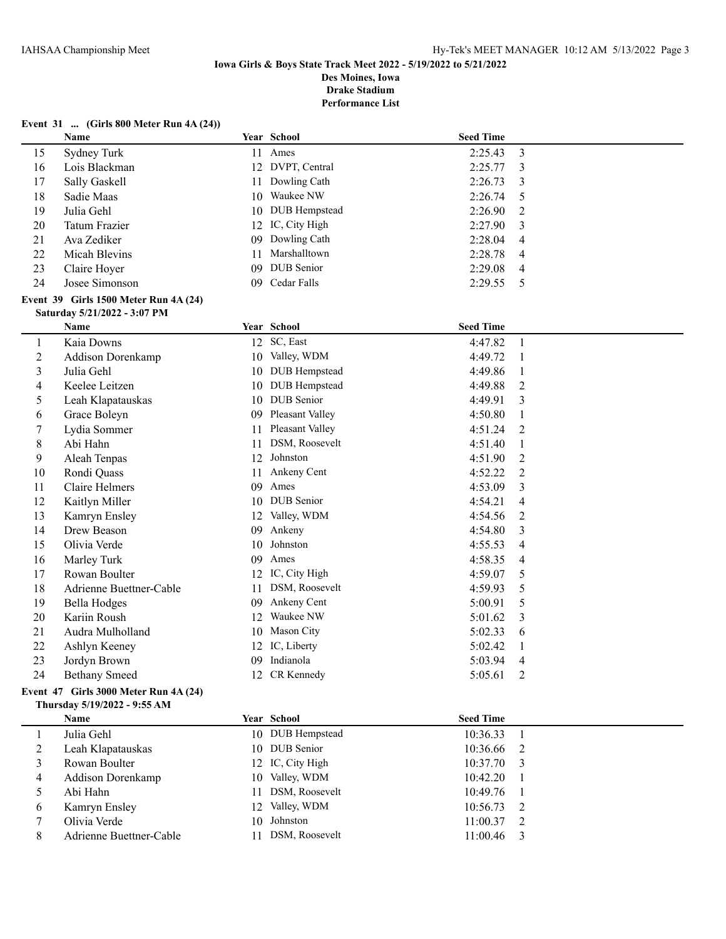### **Event 31 ... (Girls 800 Meter Run 4A (24))**

|                | Name                                                                  |    | Year School          | <b>Seed Time</b> |                |
|----------------|-----------------------------------------------------------------------|----|----------------------|------------------|----------------|
| 15             | Sydney Turk                                                           |    | 11 Ames              | 2:25.43          | $\overline{3}$ |
| 16             | Lois Blackman                                                         | 12 | DVPT, Central        | 2:25.77          | 3              |
| 17             | Sally Gaskell                                                         | 11 | Dowling Cath         | 2:26.73          | 3              |
| 18             | Sadie Maas                                                            | 10 | Waukee NW            | 2:26.74          | 5              |
| 19             | Julia Gehl                                                            | 10 | <b>DUB</b> Hempstead | 2:26.90          | 2              |
| 20             | <b>Tatum Frazier</b>                                                  | 12 | IC, City High        | 2:27.90          | 3              |
| 21             | Ava Zediker                                                           | 09 | Dowling Cath         | 2:28.04          | 4              |
| 22             | Micah Blevins                                                         | 11 | Marshalltown         | 2:28.78          | 4              |
| 23             | Claire Hoyer                                                          | 09 | DUB Senior           | 2:29.08          | 4              |
| 24             | Josee Simonson                                                        | 09 | Cedar Falls          | 2:29.55          | 5              |
|                | Event 39 Girls 1500 Meter Run 4A (24)<br>Saturday 5/21/2022 - 3:07 PM |    |                      |                  |                |
|                | Name                                                                  |    | Year School          | <b>Seed Time</b> |                |
| $\mathbf{1}$   | Kaia Downs                                                            |    | 12 SC, East          | 4:47.82          | $\mathbf{1}$   |
| $\overline{c}$ | Addison Dorenkamp                                                     |    | 10 Valley, WDM       | 4:49.72          | 1              |
| 3              | Julia Gehl                                                            |    | 10 DUB Hempstead     | 4:49.86          | 1              |
| 4              | Keelee Leitzen                                                        |    | 10 DUB Hempstead     | 4:49.88          | 2              |
| 5              | Leah Klapatauskas                                                     | 10 | DUB Senior           | 4:49.91          | 3              |
| 6              | Grace Boleyn                                                          | 09 | Pleasant Valley      | 4:50.80          | 1              |
| 7              | Lydia Sommer                                                          | 11 | Pleasant Valley      | 4:51.24          | 2              |
| $\,$ 8 $\,$    | Abi Hahn                                                              | 11 | DSM, Roosevelt       | 4:51.40          | $\mathbf{1}$   |
| 9              | Aleah Tenpas                                                          | 12 | Johnston             | 4:51.90          | $\overline{2}$ |
| 10             | Rondi Quass                                                           | 11 | Ankeny Cent          | 4:52.22          | $\overline{2}$ |
| 11             | <b>Claire Helmers</b>                                                 | 09 | Ames                 | 4:53.09          | 3              |
| 12             | Kaitlyn Miller                                                        |    | 10 DUB Senior        | 4:54.21          | 4              |
| 13             | Kamryn Ensley                                                         | 12 | Valley, WDM          | 4:54.56          | 2              |
| 14             | Drew Beason                                                           | 09 | Ankeny               | 4:54.80          | 3              |
| 15             | Olivia Verde                                                          | 10 | Johnston             | 4:55.53          | 4              |
| 16             | Marley Turk                                                           | 09 | Ames                 | 4:58.35          | 4              |
| 17             | Rowan Boulter                                                         |    | 12 IC, City High     | 4:59.07          | 5              |
| 18             | Adrienne Buettner-Cable                                               | 11 | DSM, Roosevelt       | 4:59.93          | 5              |
| 19             | <b>Bella Hodges</b>                                                   | 09 | Ankeny Cent          | 5:00.91          | 5              |
| 20             | Kariin Roush                                                          | 12 | Waukee NW            | 5:01.62          | 3              |
| 21             | Audra Mulholland                                                      |    | 10 Mason City        | 5:02.33          | 6              |
| 22             | Ashlyn Keeney                                                         |    | 12 IC, Liberty       | 5:02.42          | 1              |
| 23             | Jordyn Brown                                                          | 09 | Indianola            | 5:03.94          | $\overline{4}$ |
| 24             | <b>Bethany Smeed</b>                                                  |    | 12 CR Kennedy        | 5:05.61          | $\overline{2}$ |

### **Event 47 Girls 3000 Meter Run 4A (24) Thursday 5/19/2022 - 9:55 AM**

|   | <b>Name</b>              | Year School       | <b>Seed Time</b> |  |
|---|--------------------------|-------------------|------------------|--|
|   | Julia Gehl               | 10 DUB Hempstead  | 10:36.33         |  |
|   | Leah Klapatauskas        | 10 DUB Senior     | $10:36.66$ 2     |  |
|   | Rowan Boulter            | 12 IC, City High  | $10:37.70$ 3     |  |
| 4 | <b>Addison Dorenkamp</b> | 10 Valley, WDM    | $10:42.20$ 1     |  |
|   | Abi Hahn                 | 11 DSM, Roosevelt | $10:49.76$ 1     |  |
| 6 | Kamryn Ensley            | 12 Valley, WDM    | $10:56.73$ 2     |  |
|   | Olivia Verde             | 10 Johnston       | $11:00.37$ 2     |  |
|   | Adrienne Buettner-Cable  | DSM, Roosevelt    | 11:00.46         |  |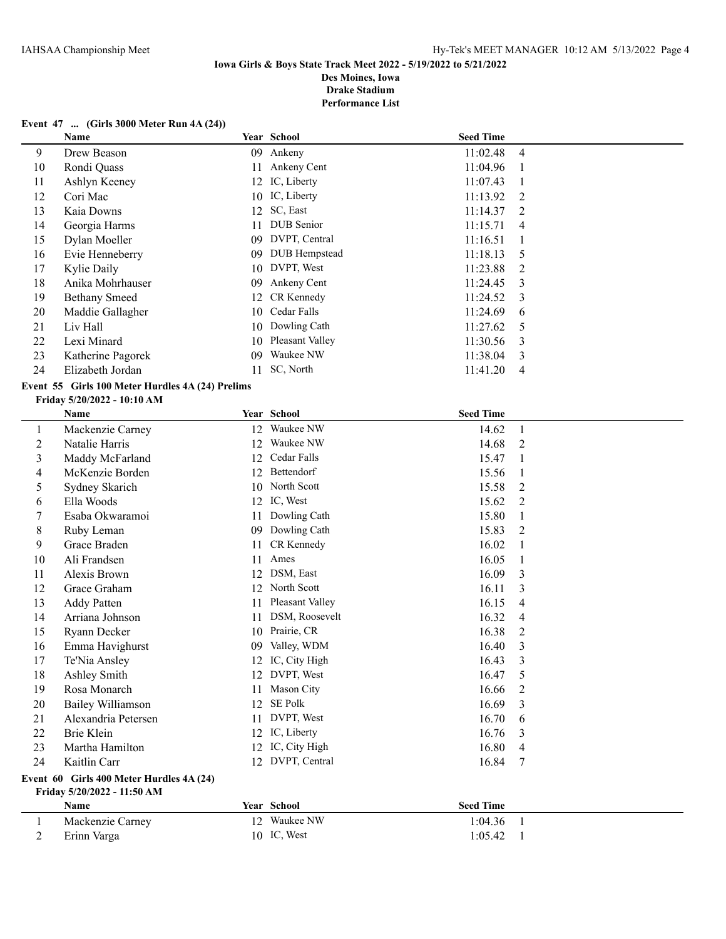### **Event 47 ... (Girls 3000 Meter Run 4A (24))**

|    | Name                 |    | Year School     | <b>Seed Time</b> |                |
|----|----------------------|----|-----------------|------------------|----------------|
| 9  | Drew Beason          | 09 | Ankeny          | 11:02.48         | -4             |
| 10 | Rondi Quass          | 11 | Ankeny Cent     | 11:04.96         |                |
| 11 | Ashlyn Keeney        |    | 12 IC, Liberty  | 11:07.43         |                |
| 12 | Cori Mac             |    | 10 IC, Liberty  | 11:13.92         | $\overline{2}$ |
| 13 | Kaia Downs           |    | 12 SC, East     | 11:14.37         | -2             |
| 14 | Georgia Harms        | 11 | DUB Senior      | 11:15.71         | 4              |
| 15 | Dylan Moeller        | 09 | DVPT, Central   | 11:16.51         |                |
| 16 | Evie Henneberry      | 09 | DUB Hempstead   | 11:18.13         | -5             |
| 17 | Kylie Daily          | 10 | DVPT, West      | 11:23.88         | -2             |
| 18 | Anika Mohrhauser     | 09 | Ankeny Cent     | 11:24.45         | $\mathcal{E}$  |
| 19 | <b>Bethany Smeed</b> | 12 | CR Kennedy      | 11:24.52         | -3             |
| 20 | Maddie Gallagher     | 10 | Cedar Falls     | 11:24.69         | 6              |
| 21 | Liv Hall             |    | 10 Dowling Cath | 11:27.62         | -5             |
| 22 | Lexi Minard          | 10 | Pleasant Valley | 11:30.56         | -3             |
| 23 | Katherine Pagorek    | 09 | Waukee NW       | 11:38.04         | 3              |
| 24 | Elizabeth Jordan     |    | SC, North       | 11:41.20         | 4              |

## **Event 55 Girls 100 Meter Hurdles 4A (24) Prelims**

#### **Friday 5/20/2022 - 10:10 AM**

|             | Name                                     |    | Year School     | <b>Seed Time</b> |                |
|-------------|------------------------------------------|----|-----------------|------------------|----------------|
| $\perp$     | Mackenzie Carney                         | 12 | Waukee NW       | 14.62            |                |
| 2           | Natalie Harris                           | 12 | Waukee NW       | 14.68            | 2              |
| 3           | Maddy McFarland                          | 12 | Cedar Falls     | 15.47            | $\mathbf 1$    |
| 4           | McKenzie Borden                          | 12 | Bettendorf      | 15.56            | 1              |
| 5           | Sydney Skarich                           |    | 10 North Scott  | 15.58            | 2              |
| 6           | Ella Woods                               | 12 | IC, West        | 15.62            | $\overline{2}$ |
|             | Esaba Okwaramoi                          | 11 | Dowling Cath    | 15.80            | 1              |
| $\,$ 8 $\,$ | Ruby Leman                               | 09 | Dowling Cath    | 15.83            | $\overline{2}$ |
| 9           | Grace Braden                             | 11 | CR Kennedy      | 16.02            | 1              |
| 10          | Ali Frandsen                             | 11 | Ames            | 16.05            |                |
| 11          | Alexis Brown                             | 12 | DSM, East       | 16.09            | 3              |
| 12          | Grace Graham                             | 12 | North Scott     | 16.11            | 3              |
| 13          | <b>Addy Patten</b>                       | 11 | Pleasant Valley | 16.15            | $\overline{4}$ |
| 14          | Arriana Johnson                          | 11 | DSM, Roosevelt  | 16.32            | 4              |
| 15          | Ryann Decker                             | 10 | Prairie, CR     | 16.38            | 2              |
| 16          | Emma Havighurst                          | 09 | Valley, WDM     | 16.40            | 3              |
| 17          | Te'Nia Ansley                            | 12 | IC, City High   | 16.43            | 3              |
| 18          | Ashley Smith                             | 12 | DVPT, West      | 16.47            | 5              |
| 19          | Rosa Monarch                             | 11 | Mason City      | 16.66            | 2              |
| 20          | <b>Bailey Williamson</b>                 | 12 | <b>SE Polk</b>  | 16.69            | 3              |
| 21          | Alexandria Petersen                      | 11 | DVPT, West      | 16.70            | 6              |
| 22          | Brie Klein                               | 12 | IC, Liberty     | 16.76            | 3              |
| 23          | Martha Hamilton                          | 12 | IC, City High   | 16.80            | 4              |
| 24          | Kaitlin Carr                             | 12 | DVPT, Central   | 16.84            | 7              |
|             | Event 60 Girls 400 Meter Hurdles 4A (24) |    |                 |                  |                |
|             | Friday 5/20/2022 - 11:50 AM              |    |                 |                  |                |

**Name Year School Seed Time** 1 Mackenzie Carney 12 Waukee NW 1:04.36 1<br>2 Erinn Varga 10 IC, West 1:05.42 1 2 Erinn Varga 10 IC, West 1:05.42 1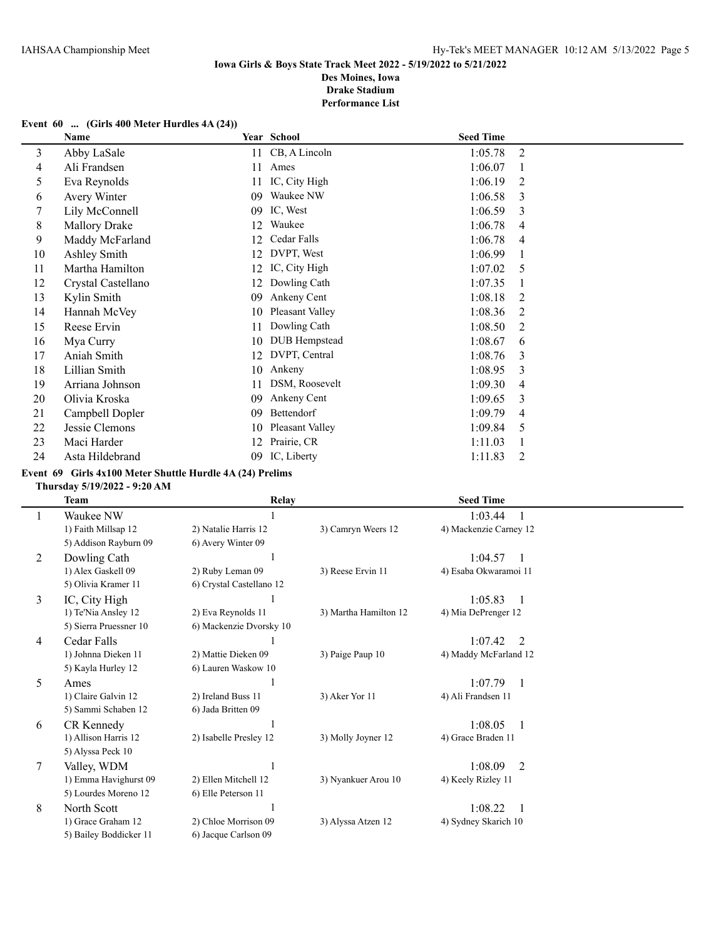### **Event 60 ... (Girls 400 Meter Hurdles 4A (24))**

|    | Name                 |    | Year School     | <b>Seed Time</b> |   |
|----|----------------------|----|-----------------|------------------|---|
| 3  | Abby LaSale          | 11 | CB, A Lincoln   | 1:05.78          | 2 |
| 4  | Ali Frandsen         | 11 | Ames            | 1:06.07          |   |
| 5  | Eva Reynolds         | 11 | IC, City High   | 1:06.19          | 2 |
| 6  | Avery Winter         | 09 | Waukee NW       | 1:06.58          | 3 |
| 7  | Lily McConnell       | 09 | IC, West        | 1:06.59          | 3 |
| 8  | <b>Mallory Drake</b> | 12 | Waukee          | 1:06.78          | 4 |
| 9  | Maddy McFarland      | 12 | Cedar Falls     | 1:06.78          | 4 |
| 10 | Ashley Smith         | 12 | DVPT, West      | 1:06.99          |   |
| 11 | Martha Hamilton      | 12 | IC, City High   | 1:07.02          | 5 |
| 12 | Crystal Castellano   | 12 | Dowling Cath    | 1:07.35          |   |
| 13 | Kylin Smith          | 09 | Ankeny Cent     | 1:08.18          | 2 |
| 14 | Hannah McVey         | 10 | Pleasant Valley | 1:08.36          | 2 |
| 15 | Reese Ervin          | 11 | Dowling Cath    | 1:08.50          | 2 |
| 16 | Mya Curry            | 10 | DUB Hempstead   | 1:08.67          | 6 |
| 17 | Aniah Smith          | 12 | DVPT, Central   | 1:08.76          | 3 |
| 18 | Lillian Smith        | 10 | Ankeny          | 1:08.95          | 3 |
| 19 | Arriana Johnson      | 11 | DSM, Roosevelt  | 1:09.30          | 4 |
| 20 | Olivia Kroska        | 09 | Ankeny Cent     | 1:09.65          | 3 |
| 21 | Campbell Dopler      | 09 | Bettendorf      | 1:09.79          | 4 |
| 22 | Jessie Clemons       | 10 | Pleasant Valley | 1:09.84          | 5 |
| 23 | Maci Harder          | 12 | Prairie, CR     | 1:11.03          |   |
| 24 | Asta Hildebrand      | 09 | IC, Liberty     | 1:11.83          | 2 |

### **Event 69 Girls 4x100 Meter Shuttle Hurdle 4A (24) Prelims**

### **Thursday 5/19/2022 - 9:20 AM**

 $\overline{\phantom{a}}$ 

|   | <b>Team</b>            | <b>Relay</b>             |                       | <b>Seed Time</b>       |  |
|---|------------------------|--------------------------|-----------------------|------------------------|--|
|   | Waukee NW              |                          |                       | 1:03.44                |  |
|   | 1) Faith Millsap 12    | 2) Natalie Harris 12     | 3) Camryn Weers 12    | 4) Mackenzie Carney 12 |  |
|   | 5) Addison Rayburn 09  | 6) Avery Winter 09       |                       |                        |  |
| 2 | Dowling Cath           |                          |                       | 1:04.57                |  |
|   | 1) Alex Gaskell 09     | 2) Ruby Leman 09         | 3) Reese Ervin 11     | 4) Esaba Okwaramoi 11  |  |
|   | 5) Olivia Kramer 11    | 6) Crystal Castellano 12 |                       |                        |  |
| 3 | IC, City High          |                          |                       | 1:05.83                |  |
|   | 1) Te'Nia Ansley 12    | 2) Eva Reynolds 11       | 3) Martha Hamilton 12 | 4) Mia DePrenger 12    |  |
|   | 5) Sierra Pruessner 10 | 6) Mackenzie Dvorsky 10  |                       |                        |  |
| 4 | Cedar Falls            |                          |                       | 1:07.42<br>2           |  |
|   | 1) Johnna Dieken 11    | 2) Mattie Dieken 09      | 3) Paige Paup 10      | 4) Maddy McFarland 12  |  |
|   | 5) Kayla Hurley 12     | 6) Lauren Waskow 10      |                       |                        |  |
| 5 | Ames                   |                          |                       | 1:07.79                |  |
|   | 1) Claire Galvin 12    | 2) Ireland Buss 11       | 3) Aker Yor 11        | 4) Ali Frandsen 11     |  |
|   | 5) Sammi Schaben 12    | 6) Jada Britten 09       |                       |                        |  |
| 6 | CR Kennedy             |                          |                       | 1:08.05                |  |
|   | 1) Allison Harris 12   | 2) Isabelle Presley 12   | 3) Molly Joyner 12    | 4) Grace Braden 11     |  |
|   | 5) Alyssa Peck 10      |                          |                       |                        |  |
| 7 | Valley, WDM            |                          |                       | 1:08.09<br>2           |  |
|   | 1) Emma Havighurst 09  | 2) Ellen Mitchell 12     | 3) Nyankuer Arou 10   | 4) Keely Rizley 11     |  |
|   | 5) Lourdes Moreno 12   | 6) Elle Peterson 11      |                       |                        |  |
| 8 | North Scott            |                          |                       | 1:08.22                |  |
|   | 1) Grace Graham 12     | 2) Chloe Morrison 09     | 3) Alyssa Atzen 12    | 4) Sydney Skarich 10   |  |
|   | 5) Bailey Boddicker 11 | 6) Jacque Carlson 09     |                       |                        |  |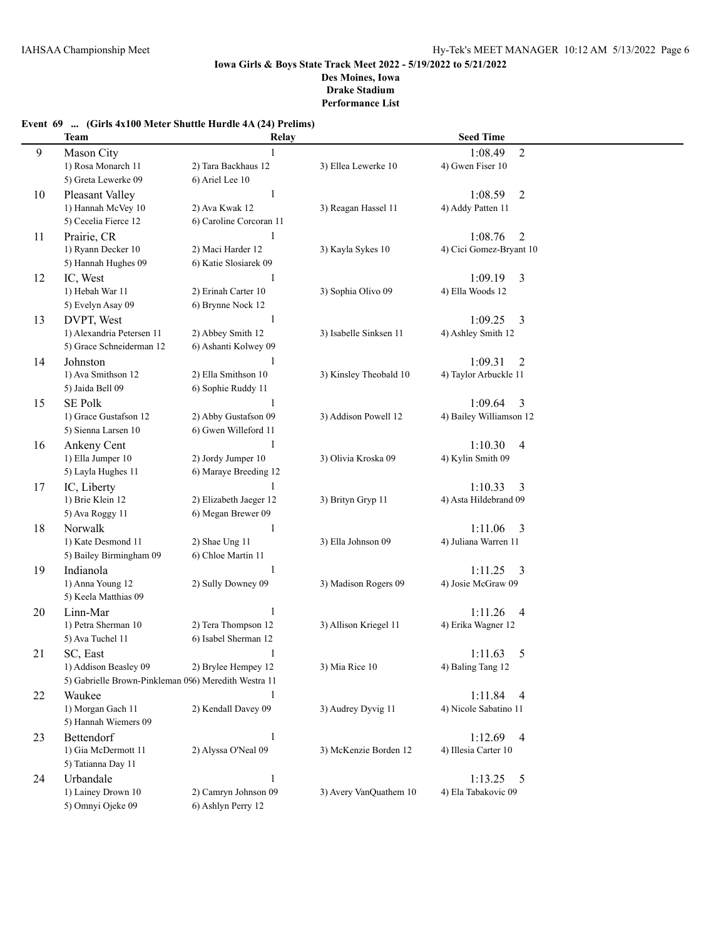# **Event 69 ... (Girls 4x100 Meter Shuttle Hurdle 4A (24) Prelims)**

|    | <b>Team</b>                                          | Relay                   |                        | <b>Seed Time</b>          |  |
|----|------------------------------------------------------|-------------------------|------------------------|---------------------------|--|
| 9  | Mason City                                           |                         |                        | $\overline{2}$<br>1:08.49 |  |
|    | 1) Rosa Monarch 11                                   | 2) Tara Backhaus 12     | 3) Ellea Lewerke 10    | 4) Gwen Fiser 10          |  |
|    | 5) Greta Lewerke 09                                  | 6) Ariel Lee 10         |                        |                           |  |
| 10 | Pleasant Valley                                      | $\mathbf{1}$            |                        | 1:08.59<br>2              |  |
|    | 1) Hannah McVey 10                                   | 2) Ava Kwak 12          | 3) Reagan Hassel 11    | 4) Addy Patten 11         |  |
|    | 5) Cecelia Fierce 12                                 | 6) Caroline Corcoran 11 |                        |                           |  |
| 11 | Prairie, CR                                          | 1                       |                        | 1:08.76<br>$\overline{2}$ |  |
|    | 1) Ryann Decker 10                                   | 2) Maci Harder 12       | 3) Kayla Sykes 10      | 4) Cici Gomez-Bryant 10   |  |
|    | 5) Hannah Hughes 09                                  | 6) Katie Slosiarek 09   |                        |                           |  |
| 12 | IC, West                                             | 1                       |                        | 1:09.19<br>3              |  |
|    | 1) Hebah War 11                                      | 2) Erinah Carter 10     | 3) Sophia Olivo 09     | 4) Ella Woods 12          |  |
|    | 5) Evelyn Asay 09                                    | 6) Brynne Nock 12       |                        |                           |  |
| 13 | DVPT, West                                           | 1                       |                        | 1:09.25<br>3              |  |
|    | 1) Alexandria Petersen 11                            | 2) Abbey Smith 12       | 3) Isabelle Sinksen 11 | 4) Ashley Smith 12        |  |
|    | 5) Grace Schneiderman 12                             | 6) Ashanti Kolwey 09    |                        |                           |  |
| 14 | Johnston                                             |                         |                        | 1:09.31<br>2              |  |
|    | 1) Ava Smithson 12                                   | 2) Ella Smithson 10     | 3) Kinsley Theobald 10 | 4) Taylor Arbuckle 11     |  |
|    | 5) Jaida Bell 09                                     | 6) Sophie Ruddy 11      |                        |                           |  |
| 15 | <b>SE Polk</b>                                       | 1                       |                        | 1:09.64<br>3              |  |
|    | 1) Grace Gustafson 12                                | 2) Abby Gustafson 09    | 3) Addison Powell 12   | 4) Bailey Williamson 12   |  |
|    | 5) Sienna Larsen 10                                  | 6) Gwen Willeford 11    |                        |                           |  |
| 16 | Ankeny Cent                                          | $\mathbf{1}$            |                        | 1:10.30<br>4              |  |
|    | 1) Ella Jumper 10                                    | 2) Jordy Jumper 10      | 3) Olivia Kroska 09    | 4) Kylin Smith 09         |  |
|    | 5) Layla Hughes 11                                   | 6) Maraye Breeding 12   |                        |                           |  |
| 17 | IC, Liberty                                          |                         |                        | 1:10.33<br>3              |  |
|    | 1) Brie Klein 12                                     | 2) Elizabeth Jaeger 12  | 3) Brityn Gryp 11      | 4) Asta Hildebrand 09     |  |
|    | 5) Ava Roggy 11                                      | 6) Megan Brewer 09      |                        |                           |  |
| 18 | Norwalk                                              | $\mathbf{1}$            |                        | 1:11.06<br>3              |  |
|    | 1) Kate Desmond 11                                   | 2) Shae Ung 11          | 3) Ella Johnson 09     | 4) Juliana Warren 11      |  |
|    | 5) Bailey Birmingham 09                              | 6) Chloe Martin 11      |                        |                           |  |
| 19 | Indianola                                            | -1                      |                        | 1:11.25<br>3              |  |
|    | 1) Anna Young 12                                     | 2) Sully Downey 09      | 3) Madison Rogers 09   | 4) Josie McGraw 09        |  |
|    | 5) Keela Matthias 09                                 |                         |                        |                           |  |
| 20 | Linn-Mar                                             | $\mathbf{1}$            |                        | 1:11.26<br>4              |  |
|    | 1) Petra Sherman 10                                  | 2) Tera Thompson 12     | 3) Allison Kriegel 11  | 4) Erika Wagner 12        |  |
|    | 5) Ava Tuchel 11                                     | 6) Isabel Sherman 12    |                        |                           |  |
| 21 | SC, East                                             | 1                       |                        | 5<br>1:11.63              |  |
|    | 1) Addison Beasley 09                                | 2) Brylee Hempey 12     | 3) Mia Rice 10         | 4) Baling Tang 12         |  |
|    | 5) Gabrielle Brown-Pinkleman 096) Meredith Westra 11 |                         |                        |                           |  |
| 22 | Waukee                                               | $\mathbf{1}$            |                        | 1:11.84<br>4              |  |
|    | 1) Morgan Gach 11                                    | 2) Kendall Davey 09     | 3) Audrey Dyvig 11     | 4) Nicole Sabatino 11     |  |
|    | 5) Hannah Wiemers 09                                 |                         |                        |                           |  |
| 23 | Bettendorf                                           | $\mathbf{1}$            |                        | 1:12.69<br>4              |  |
|    | 1) Gia McDermott 11                                  | 2) Alyssa O'Neal 09     | 3) McKenzie Borden 12  | 4) Illesia Carter 10      |  |
|    | 5) Tatianna Day 11                                   |                         |                        |                           |  |
| 24 | Urbandale                                            | $\mathbf{1}$            |                        | 1:13.25<br>5              |  |
|    | 1) Lainey Drown 10                                   | 2) Camryn Johnson 09    | 3) Avery VanQuathem 10 | 4) Ela Tabakovic 09       |  |
|    | 5) Omnyi Ojeke 09                                    | 6) Ashlyn Perry 12      |                        |                           |  |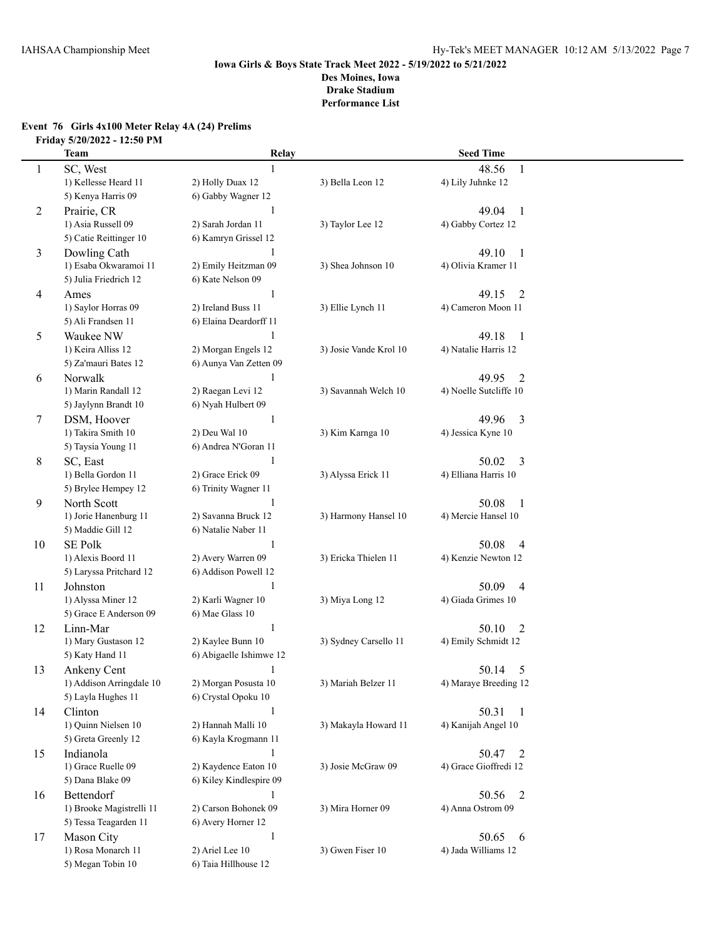# **Event 76 Girls 4x100 Meter Relay 4A (24) Prelims Friday 5/20/2022 - 12:50 PM**

|    | <b>Team</b>              | Relay                   |                        | <b>Seed Time</b>        |  |
|----|--------------------------|-------------------------|------------------------|-------------------------|--|
| 1  | SC, West                 |                         |                        | 48.56<br>$\mathbf{1}$   |  |
|    | 1) Kellesse Heard 11     | 2) Holly Duax 12        | 3) Bella Leon 12       | 4) Lily Juhnke 12       |  |
|    | 5) Kenya Harris 09       | 6) Gabby Wagner 12      |                        |                         |  |
| 2  | Prairie, CR              |                         |                        | 49.04<br>$\overline{1}$ |  |
|    | 1) Asia Russell 09       | 2) Sarah Jordan 11      | 3) Taylor Lee 12       | 4) Gabby Cortez 12      |  |
|    | 5) Catie Reittinger 10   | 6) Kamryn Grissel 12    |                        |                         |  |
| 3  | Dowling Cath             |                         |                        | 49.10<br>$\overline{1}$ |  |
|    | 1) Esaba Okwaramoi 11    | 2) Emily Heitzman 09    | 3) Shea Johnson 10     | 4) Olivia Kramer 11     |  |
|    | 5) Julia Friedrich 12    | 6) Kate Nelson 09       |                        |                         |  |
| 4  | Ames                     | 1                       |                        | $\overline{2}$<br>49.15 |  |
|    | 1) Saylor Horras 09      | 2) Ireland Buss 11      | 3) Ellie Lynch 11      | 4) Cameron Moon 11      |  |
|    | 5) Ali Frandsen 11       | 6) Elaina Deardorff 11  |                        |                         |  |
| 5  | Waukee NW                | 1                       |                        | 49.18<br>$\overline{1}$ |  |
|    | 1) Keira Alliss 12       | 2) Morgan Engels 12     | 3) Josie Vande Krol 10 | 4) Natalie Harris 12    |  |
|    | 5) Za'mauri Bates 12     | 6) Aunya Van Zetten 09  |                        |                         |  |
| 6  | Norwalk                  | 1                       |                        | 2<br>49.95              |  |
|    | 1) Marin Randall 12      | 2) Raegan Levi 12       | 3) Savannah Welch 10   | 4) Noelle Sutcliffe 10  |  |
|    | 5) Jaylynn Brandt 10     | 6) Nyah Hulbert 09      |                        |                         |  |
| 7  | DSM, Hoover              | 1                       |                        | 49.96<br>$\overline{3}$ |  |
|    | 1) Takira Smith 10       | 2) Deu Wal 10           | 3) Kim Karnga 10       | 4) Jessica Kyne 10      |  |
|    | 5) Taysia Young 11       | 6) Andrea N'Goran 11    |                        |                         |  |
| 8  | SC, East                 | 1                       |                        | $\overline{3}$<br>50.02 |  |
|    | 1) Bella Gordon 11       | 2) Grace Erick 09       | 3) Alyssa Erick 11     | 4) Elliana Harris 10    |  |
|    | 5) Brylee Hempey 12      | 6) Trinity Wagner 11    |                        |                         |  |
| 9  | North Scott              | 1                       |                        | 50.08<br>1              |  |
|    | 1) Jorie Hanenburg 11    | 2) Savanna Bruck 12     | 3) Harmony Hansel 10   | 4) Mercie Hansel 10     |  |
|    | 5) Maddie Gill 12        | 6) Natalie Naber 11     |                        |                         |  |
| 10 | <b>SE Polk</b>           | 1                       |                        | 50.08<br>$\overline{4}$ |  |
|    | 1) Alexis Boord 11       | 2) Avery Warren 09      | 3) Ericka Thielen 11   | 4) Kenzie Newton 12     |  |
|    | 5) Laryssa Pritchard 12  | 6) Addison Powell 12    |                        |                         |  |
| 11 | Johnston                 | $\mathbf{1}$            |                        | 50.09<br>4              |  |
|    | 1) Alyssa Miner 12       | 2) Karli Wagner 10      | 3) Miya Long 12        | 4) Giada Grimes 10      |  |
|    | 5) Grace E Anderson 09   | 6) Mae Glass 10         |                        |                         |  |
| 12 | Linn-Mar                 | $\mathbf{1}$            |                        | 50.10<br>2              |  |
|    | 1) Mary Gustason 12      | 2) Kaylee Bunn 10       | 3) Sydney Carsello 11  | 4) Emily Schmidt 12     |  |
|    | 5) Katy Hand 11          | 6) Abigaelle Ishimwe 12 |                        |                         |  |
| 13 | Ankeny Cent              | 1                       |                        | 50.14<br>5              |  |
|    | 1) Addison Arringdale 10 | 2) Morgan Posusta 10    | 3) Mariah Belzer 11    | 4) Maraye Breeding 12   |  |
|    | 5) Layla Hughes 11       | 6) Crystal Opoku 10     |                        |                         |  |
| 14 | Clinton                  | $\mathbf{1}$            |                        | 50.31<br>$\overline{1}$ |  |
|    | 1) Quinn Nielsen 10      | 2) Hannah Malli 10      | 3) Makayla Howard 11   | 4) Kanijah Angel 10     |  |
|    | 5) Greta Greenly 12      | 6) Kayla Krogmann 11    |                        |                         |  |
| 15 | Indianola                | $\mathbf{1}$            |                        | 50.47<br>2              |  |
|    | 1) Grace Ruelle 09       | 2) Kaydence Eaton 10    | 3) Josie McGraw 09     | 4) Grace Gioffredi 12   |  |
|    | 5) Dana Blake 09         | 6) Kiley Kindlespire 09 |                        |                         |  |
| 16 | Bettendorf               | 1                       |                        | 50.56<br>2              |  |
|    | 1) Brooke Magistrelli 11 | 2) Carson Bohonek 09    | 3) Mira Horner 09      | 4) Anna Ostrom 09       |  |
|    | 5) Tessa Teagarden 11    | 6) Avery Horner 12      |                        |                         |  |
| 17 | Mason City               | $\mathbf{1}$            |                        | 50.65<br>6              |  |
|    | 1) Rosa Monarch 11       | 2) Ariel Lee 10         | 3) Gwen Fiser 10       | 4) Jada Williams 12     |  |
|    | 5) Megan Tobin 10        | 6) Taia Hillhouse 12    |                        |                         |  |
|    |                          |                         |                        |                         |  |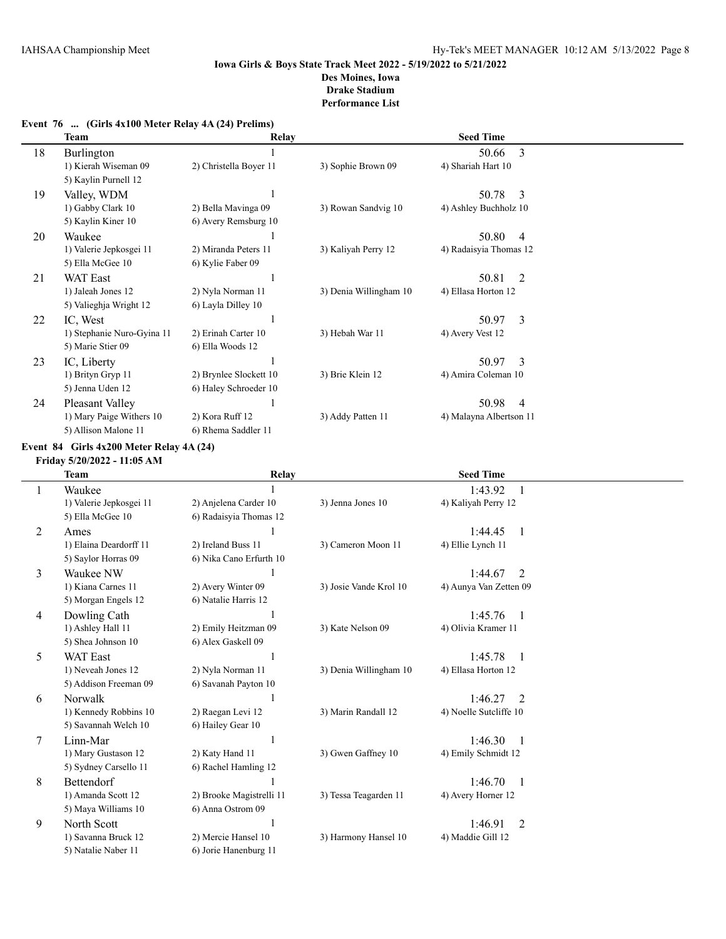|    | Team                                         | Relay                  |                        | <b>Seed Time</b>        |                |
|----|----------------------------------------------|------------------------|------------------------|-------------------------|----------------|
| 18 | Burlington                                   |                        |                        | 50.66                   | 3              |
|    | 1) Kierah Wiseman 09<br>5) Kaylin Purnell 12 | 2) Christella Boyer 11 | 3) Sophie Brown 09     | 4) Shariah Hart 10      |                |
| 19 | Valley, WDM                                  |                        |                        | 50.78                   | 3              |
|    | 1) Gabby Clark 10                            | 2) Bella Mavinga 09    | 3) Rowan Sandvig 10    | 4) Ashley Buchholz 10   |                |
|    | 5) Kaylin Kiner 10                           | 6) Avery Remsburg 10   |                        |                         |                |
| 20 | Waukee                                       |                        |                        | 50.80                   | $\overline{4}$ |
|    | 1) Valerie Jepkosgei 11                      | 2) Miranda Peters 11   | 3) Kaliyah Perry 12    | 4) Radaisyia Thomas 12  |                |
|    | 5) Ella McGee 10                             | 6) Kylie Faber 09      |                        |                         |                |
| 21 | <b>WAT East</b>                              |                        |                        | 50.81                   | 2              |
|    | 1) Jaleah Jones 12                           | 2) Nyla Norman 11      | 3) Denia Willingham 10 | 4) Ellasa Horton 12     |                |
|    | 5) Valieghja Wright 12                       | 6) Layla Dilley 10     |                        |                         |                |
| 22 | IC, West                                     |                        |                        | 50.97                   | 3              |
|    | 1) Stephanie Nuro-Gyina 11                   | 2) Erinah Carter 10    | 3) Hebah War 11        | 4) Avery Vest 12        |                |
|    | 5) Marie Stier 09                            | 6) Ella Woods 12       |                        |                         |                |
| 23 | IC, Liberty                                  |                        |                        | 50.97                   | 3              |
|    | 1) Brityn Gryp 11                            | 2) Brynlee Slockett 10 | 3) Brie Klein 12       | 4) Amira Coleman 10     |                |
|    | 5) Jenna Uden 12                             | 6) Haley Schroeder 10  |                        |                         |                |
| 24 | Pleasant Valley                              |                        |                        | 50.98                   | $\overline{4}$ |
|    | 1) Mary Paige Withers 10                     | 2) Kora Ruff 12        | 3) Addy Patten 11      | 4) Malayna Albertson 11 |                |
|    | 5) Allison Malone 11                         | 6) Rhema Saddler 11    |                        |                         |                |

### **Event 76 ... (Girls 4x100 Meter Relay 4A (24) Prelims)**

**Event 84 Girls 4x200 Meter Relay 4A (24)**

**Friday 5/20/2022 - 11:05 AM**

|   | <b>Team</b>             | Relay                    |                        | <b>Seed Time</b>                    |  |
|---|-------------------------|--------------------------|------------------------|-------------------------------------|--|
|   | Waukee                  |                          |                        | 1:43.92                             |  |
|   | 1) Valerie Jepkosgei 11 | 2) Anjelena Carder 10    | 3) Jenna Jones 10      | 4) Kaliyah Perry 12                 |  |
|   | 5) Ella McGee 10        | 6) Radaisyia Thomas 12   |                        |                                     |  |
| 2 | Ames                    |                          |                        | 1:44.45<br>-1                       |  |
|   | 1) Elaina Deardorff 11  | 2) Ireland Buss 11       | 3) Cameron Moon 11     | 4) Ellie Lynch 11                   |  |
|   | 5) Saylor Horras 09     | 6) Nika Cano Erfurth 10  |                        |                                     |  |
| 3 | Waukee NW               |                          |                        | 1:44.67<br>2                        |  |
|   | 1) Kiana Carnes 11      | 2) Avery Winter 09       | 3) Josie Vande Krol 10 | 4) Aunya Van Zetten 09              |  |
|   | 5) Morgan Engels 12     | 6) Natalie Harris 12     |                        |                                     |  |
| 4 | Dowling Cath            |                          |                        | 1:45.76<br>$\overline{\phantom{0}}$ |  |
|   | 1) Ashley Hall 11       | 2) Emily Heitzman 09     | 3) Kate Nelson 09      | 4) Olivia Kramer 11                 |  |
|   | 5) Shea Johnson 10      | 6) Alex Gaskell 09       |                        |                                     |  |
| 5 | <b>WAT East</b>         |                          |                        | 1:45.78<br>$\overline{\phantom{0}}$ |  |
|   | 1) Neveah Jones 12      | 2) Nyla Norman 11        | 3) Denia Willingham 10 | 4) Ellasa Horton 12                 |  |
|   | 5) Addison Freeman 09   | 6) Savanah Payton 10     |                        |                                     |  |
| 6 | Norwalk                 |                          |                        | 1:46.27<br>2                        |  |
|   | 1) Kennedy Robbins 10   | 2) Raegan Levi 12        | 3) Marin Randall 12    | 4) Noelle Sutcliffe 10              |  |
|   | 5) Savannah Welch 10    | 6) Hailey Gear 10        |                        |                                     |  |
| 7 | Linn-Mar                |                          |                        | 1:46.30<br>$\overline{\phantom{0}}$ |  |
|   | 1) Mary Gustason 12     | 2) Katy Hand 11          | 3) Gwen Gaffney 10     | 4) Emily Schmidt 12                 |  |
|   | 5) Sydney Carsello 11   | 6) Rachel Hamling 12     |                        |                                     |  |
| 8 | <b>Bettendorf</b>       |                          |                        | 1:46.70<br>$\overline{\phantom{0}}$ |  |
|   | 1) Amanda Scott 12      | 2) Brooke Magistrelli 11 | 3) Tessa Teagarden 11  | 4) Avery Horner 12                  |  |
|   | 5) Maya Williams 10     | 6) Anna Ostrom 09        |                        |                                     |  |
| 9 | North Scott             |                          |                        | 1:46.91<br>2                        |  |
|   | 1) Savanna Bruck 12     | 2) Mercie Hansel 10      | 3) Harmony Hansel 10   | 4) Maddie Gill 12                   |  |
|   | 5) Natalie Naber 11     | 6) Jorie Hanenburg 11    |                        |                                     |  |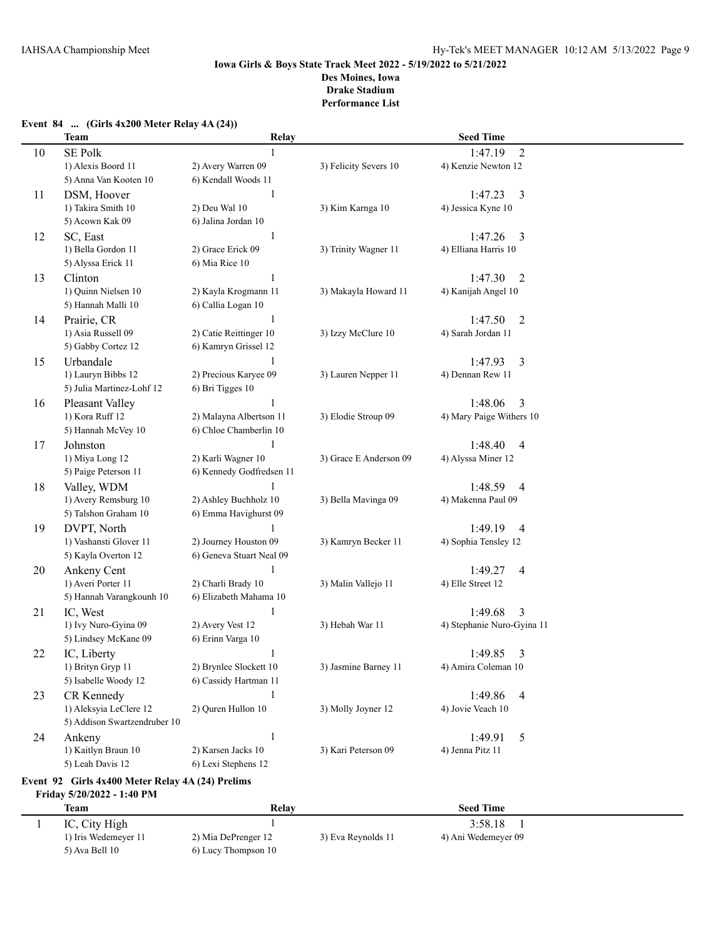**Event 84 ... (Girls 4x200 Meter Relay 4A (24))**

## **Iowa Girls & Boys State Track Meet 2022 - 5/19/2022 to 5/21/2022 Des Moines, Iowa Drake Stadium Performance List**

# **Team Relay Seed Time** 10 SE Polk 1 1:47.19 2 1) Alexis Boord 11 2) Avery Warren 09 3) Felicity Severs 10 4) Kenzie Newton 12 5) Anna Van Kooten 10 6) Kendall Woods 11 11 DSM, Hoover 1<br>11 1:47.23 3<br>11 11 12.33 1 11 12.47.23 1 11 11 12.47.23 2 12 12 12 13 12 13 12 13 13 14 13 13 14 13 14 14 15 16 16 17 17 1 4) Jessica Kyne 10 5) Acown Kak 09 6) Jalina Jordan 10 12 SC, East 1 1:47.26 3 1) Bella Gordon 11 2) Grace Erick 09 3) Trinity Wagner 11 4) Elliana Harris 10 5) Alyssa Erick 11 6) Mia Rice 10 13 Clinton 1 1:47.30 2 1) Quinn Nielsen 10 2) Kayla Krogmann 11 3) Makayla Howard 11 4) Kanijah Angel 10 5) Hannah Malli 10 6) Callia Logan 10 14 Prairie, CR 1:47.50 2 1) Asia Russell 09 2) Catie Reittinger 10 3) Izzy McClure 10 4) Sarah Jordan 11 5) Gabby Cortez 12 6) Kamryn Grissel 12 15 Urbandale 1 1:47.93 3 1) Lauryn Bibbs 12 2) Precious Karyee 09 3) Lauren Nepper 11 4) Dennan Rew 11 5) Julia Martinez-Lohf 12 6) Bri Tigges 10 16 Pleasant Valley 1 1:48.06 3 1) Kora Ruff 12 2) Malayna Albertson 11 3) Elodie Stroup 09 4) Mary Paige Withers 10 5) Hannah McVey 10 6) Chloe Chamberlin 10 17 Johnston 1 1:48.40 4 1) Miya Long 12 2) Karli Wagner 10 3) Grace E Anderson 09 4) Alyssa Miner 12 5) Paige Peterson 11 6) Kennedy Godfredsen 11 18 Valley, WDM 1:48.59 4 1) Avery Remsburg 10 2) Ashley Buchholz 10 3) Bella Mavinga 09 4) Makenna Paul 09 5) Talshon Graham 10 6) Emma Havighurst 09 19 DVPT, North 1 1:49.19 4 1) Vashansti Glover 11 2) Journey Houston 09 3) Kamryn Becker 11 4) Sophia Tensley 12 5) Kayla Overton 12 6) Geneva Stuart Neal 09 20 Ankeny Cent 1 1:49.27 4 1) Averi Porter 11 2) Charli Brady 10 3) Malin Vallejo 11 4) Elle Street 12 5) Hannah Varangkounh 10 6) Elizabeth Mahama 10 21 IC, West 1 1:49.68 3 1) Ivy Nuro-Gyina 09 2) Avery Vest 12 3) Hebah War 11 4) Stephanie Nuro-Gyina 11 5) Lindsey McKane 09 6) Erinn Varga 10 22 IC, Liberty 1 1:49.85 3 1) Brityn Gryp 11 2) Brynlee Slockett 10 3) Jasmine Barney 11 4) Amira Coleman 10 5) Isabelle Woody 12 6) Cassidy Hartman 11 23 CR Kennedy 1<br>
1) Aleksyia LeClere 12 2) Quren Hullon 10 3) Molly Joyner 12 4) Jovie Veach 10 1) Aleksyia LeClere 12 2) Quren Hullon 10 3) Molly Joyner 12 5) Addison Swartzendruber 10 24 Ankeny 1 1:49.91 5 1) Kaitlyn Braun 10 2) Karsen Jacks 10 3) Kari Peterson 09 4) Jenna Pitz 11 5) Leah Davis 12 6) Lexi Stephens 12 **Event 92 Girls 4x400 Meter Relay 4A (24) Prelims Friday 5/20/2022 - 1:40 PM**

| Team                 | Relay               |                    | <b>Seed Time</b>    |  |
|----------------------|---------------------|--------------------|---------------------|--|
| IC, City High        |                     |                    | 3:58.18             |  |
| 1) Iris Wedemeyer 11 | 2) Mia DePrenger 12 | 3) Eva Reynolds 11 | 4) Ani Wedemeyer 09 |  |
| 5) Ava Bell 10       | 6) Lucy Thompson 10 |                    |                     |  |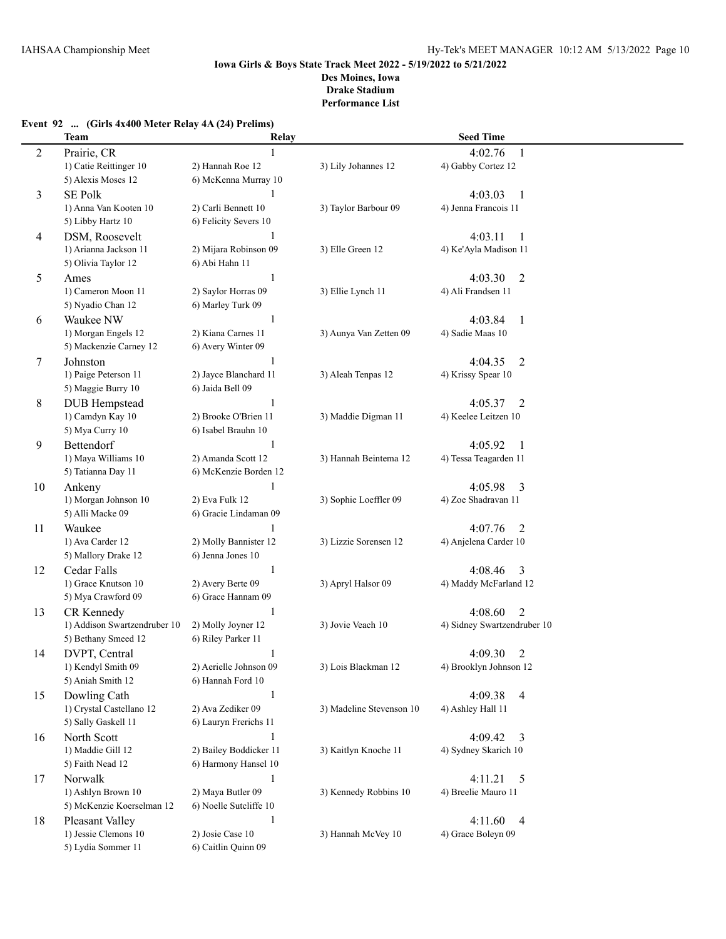|  | Event 92  (Girls 4x400 Meter Relay 4A (24) Prelims) |  |  |
|--|-----------------------------------------------------|--|--|
|--|-----------------------------------------------------|--|--|

|                | Team                                            | Relay                                      |                          | <b>Seed Time</b>                      |
|----------------|-------------------------------------------------|--------------------------------------------|--------------------------|---------------------------------------|
| $\overline{c}$ | Prairie, CR                                     | 1                                          |                          | 4:02.76<br>1                          |
|                | 1) Catie Reittinger 10                          | 2) Hannah Roe 12                           | 3) Lily Johannes 12      | 4) Gabby Cortez 12                    |
|                | 5) Alexis Moses 12                              | 6) McKenna Murray 10                       |                          |                                       |
| 3              | <b>SE Polk</b>                                  | 1                                          |                          | 4:03.03<br>$\mathbf{1}$               |
|                | 1) Anna Van Kooten 10                           | 2) Carli Bennett 10                        | 3) Taylor Barbour 09     | 4) Jenna Francois 11                  |
|                | 5) Libby Hartz 10                               | 6) Felicity Severs 10                      |                          |                                       |
| 4              | DSM, Roosevelt                                  | $\mathbf{1}$                               |                          | 4:03.11<br>1                          |
|                | 1) Arianna Jackson 11                           | 2) Mijara Robinson 09                      | 3) Elle Green 12         | 4) Ke'Ayla Madison 11                 |
|                | 5) Olivia Taylor 12                             | 6) Abi Hahn 11                             |                          |                                       |
| 5              | Ames                                            | 1                                          |                          | 4:03.30<br>$\overline{2}$             |
|                | 1) Cameron Moon 11                              | 2) Saylor Horras 09                        | 3) Ellie Lynch 11        | 4) Ali Frandsen 11                    |
|                | 5) Nyadio Chan 12                               | 6) Marley Turk 09                          |                          |                                       |
| 6              | Waukee NW                                       | 1                                          |                          | 4:03.84<br>1                          |
|                | 1) Morgan Engels 12                             | 2) Kiana Carnes 11                         | 3) Aunya Van Zetten 09   | 4) Sadie Maas 10                      |
|                | 5) Mackenzie Carney 12                          | 6) Avery Winter 09                         |                          |                                       |
| 7              | Johnston                                        | 1                                          |                          | 4:04.35<br>2                          |
|                | 1) Paige Peterson 11                            | 2) Jayce Blanchard 11                      | 3) Aleah Tenpas 12       | 4) Krissy Spear 10                    |
|                | 5) Maggie Burry 10                              | 6) Jaida Bell 09                           |                          |                                       |
| 8              | <b>DUB</b> Hempstead                            | 1                                          |                          | 4:05.37<br>2                          |
|                | 1) Camdyn Kay 10                                | 2) Brooke O'Brien 11                       | 3) Maddie Digman 11      | 4) Keelee Leitzen 10                  |
|                | 5) Mya Curry 10                                 | 6) Isabel Brauhn 10                        |                          |                                       |
| 9              | Bettendorf                                      | $\mathbf{1}$                               |                          | 4:05.92                               |
|                | 1) Maya Williams 10                             | 2) Amanda Scott 12                         | 3) Hannah Beintema 12    | $\mathbf{1}$<br>4) Tessa Teagarden 11 |
|                | 5) Tatianna Day 11                              | 6) McKenzie Borden 12                      |                          |                                       |
|                |                                                 | $\mathbf{1}$                               |                          | 4:05.98                               |
| 10             | Ankeny<br>1) Morgan Johnson 10                  | 2) Eva Fulk 12                             | 3) Sophie Loeffler 09    | 3<br>4) Zoe Shadravan 11              |
|                | 5) Alli Macke 09                                | 6) Gracie Lindaman 09                      |                          |                                       |
|                |                                                 |                                            |                          |                                       |
| 11             | Waukee<br>1) Ava Carder 12                      | $\mathbf{1}$                               | 3) Lizzie Sorensen 12    | 4:07.76<br>2<br>4) Anjelena Carder 10 |
|                | 5) Mallory Drake 12                             | 2) Molly Bannister 12<br>6) Jenna Jones 10 |                          |                                       |
|                |                                                 | $\mathbf{1}$                               |                          |                                       |
| 12             | Cedar Falls<br>1) Grace Knutson 10              | 2) Avery Berte 09                          | 3) Apryl Halsor 09       | 4:08.46<br>3<br>4) Maddy McFarland 12 |
|                | 5) Mya Crawford 09                              | 6) Grace Hannam 09                         |                          |                                       |
|                |                                                 | 1                                          |                          | 4:08.60                               |
| 13             | CR Kennedy<br>1) Addison Swartzendruber 10      | 2) Molly Joyner 12                         | 3) Jovie Veach 10        | 2<br>4) Sidney Swartzendruber 10      |
|                | 5) Bethany Smeed 12                             | 6) Riley Parker 11                         |                          |                                       |
|                | DVPT, Central                                   | 1                                          |                          | 4:09.30                               |
| 14             | 1) Kendyl Smith 09                              | 2) Aerielle Johnson 09                     | 3) Lois Blackman 12      | 2<br>4) Brooklyn Johnson 12           |
|                | 5) Aniah Smith 12                               | 6) Hannah Ford 10                          |                          |                                       |
|                | Dowling Cath                                    | $\mathbf{1}$                               |                          | 4:09.38                               |
| 15             | 1) Crystal Castellano 12                        | 2) Ava Zediker 09                          | 3) Madeline Stevenson 10 | 4<br>4) Ashley Hall 11                |
|                | 5) Sally Gaskell 11                             | 6) Lauryn Frerichs 11                      |                          |                                       |
|                | North Scott                                     |                                            |                          |                                       |
| 16             |                                                 | $\mathbf{1}$                               |                          | 4:09.42<br>3                          |
|                | 1) Maddie Gill 12<br>5) Faith Nead 12           | 2) Bailey Boddicker 11                     | 3) Kaitlyn Knoche 11     | 4) Sydney Skarich 10                  |
|                |                                                 | 6) Harmony Hansel 10                       |                          |                                       |
| 17             | Norwalk                                         | $\mathbf{1}$<br>2) Maya Butler 09          |                          | 5<br>4:11.21                          |
|                | 1) Ashlyn Brown 10<br>5) McKenzie Koerselman 12 |                                            | 3) Kennedy Robbins 10    | 4) Breelie Mauro 11                   |
|                |                                                 | 6) Noelle Sutcliffe 10                     |                          |                                       |
| 18             | Pleasant Valley                                 | $\mathbf{1}$                               |                          | 4:11.60<br>$\overline{4}$             |
|                | 1) Jessie Clemons 10                            | 2) Josie Case 10                           | 3) Hannah McVey 10       | 4) Grace Boleyn 09                    |
|                | 5) Lydia Sommer 11                              | 6) Caitlin Quinn 09                        |                          |                                       |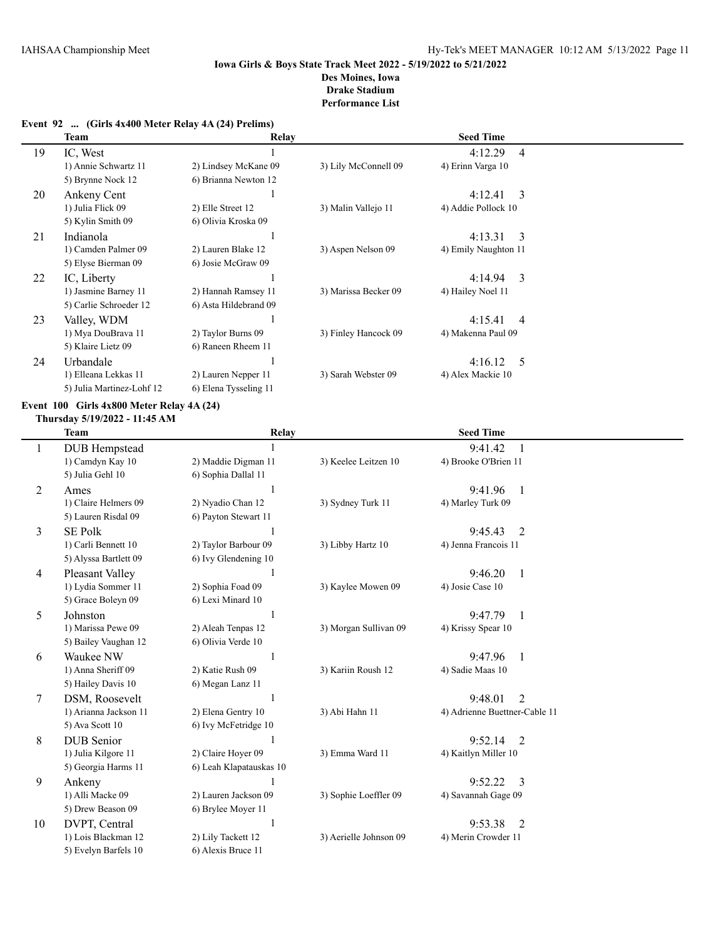# **Event 92 ... (Girls 4x400 Meter Relay 4A (24) Prelims)**

|    | Team                      | Relay                 |                      | <b>Seed Time</b>          |  |
|----|---------------------------|-----------------------|----------------------|---------------------------|--|
| 19 | IC, West                  |                       |                      | 4:12.29<br>$\overline{4}$ |  |
|    | 1) Annie Schwartz 11      | 2) Lindsey McKane 09  | 3) Lily McConnell 09 | 4) Erinn Varga 10         |  |
|    | 5) Brynne Nock 12         | 6) Brianna Newton 12  |                      |                           |  |
| 20 | Ankeny Cent               |                       |                      | 4:12.41<br>3              |  |
|    | 1) Julia Flick 09         | 2) Elle Street 12     | 3) Malin Vallejo 11  | 4) Addie Pollock 10       |  |
|    | 5) Kylin Smith 09         | 6) Olivia Kroska 09   |                      |                           |  |
| 21 | Indianola                 |                       |                      | 4:13.31<br>3              |  |
|    | 1) Camden Palmer 09       | 2) Lauren Blake 12    | 3) Aspen Nelson 09   | 4) Emily Naughton 11      |  |
|    | 5) Elyse Bierman 09       | 6) Josie McGraw 09    |                      |                           |  |
| 22 | IC, Liberty               |                       |                      | 4:14.94<br>3              |  |
|    | 1) Jasmine Barney 11      | 2) Hannah Ramsey 11   | 3) Marissa Becker 09 | 4) Hailey Noel 11         |  |
|    | 5) Carlie Schroeder 12    | 6) Asta Hildebrand 09 |                      |                           |  |
| 23 | Valley, WDM               |                       |                      | 4:15.41<br>$\overline{4}$ |  |
|    | 1) Mya DouBrava 11        | 2) Taylor Burns 09    | 3) Finley Hancock 09 | 4) Makenna Paul 09        |  |
|    | 5) Klaire Lietz 09        | 6) Raneen Rheem 11    |                      |                           |  |
| 24 | Urbandale                 |                       |                      | 4:16.12<br>5              |  |
|    | 1) Elleana Lekkas 11      | 2) Lauren Nepper 11   | 3) Sarah Webster 09  | 4) Alex Mackie 10         |  |
|    | 5) Julia Martinez-Lohf 12 | 6) Elena Tysseling 11 |                      |                           |  |

### **Event 100 Girls 4x800 Meter Relay 4A (24)**

#### **Thursday 5/19/2022 - 11:45 AM**

|    | <b>Team</b>           | Relay                   |                        | <b>Seed Time</b>              |  |
|----|-----------------------|-------------------------|------------------------|-------------------------------|--|
| 1  | <b>DUB</b> Hempstead  |                         |                        | 9:41.42<br>1                  |  |
|    | 1) Camdyn Kay 10      | 2) Maddie Digman 11     | 3) Keelee Leitzen 10   | 4) Brooke O'Brien 11          |  |
|    | 5) Julia Gehl 10      | 6) Sophia Dallal 11     |                        |                               |  |
| 2  | Ames                  |                         |                        | 9:41.96<br>$\overline{1}$     |  |
|    | 1) Claire Helmers 09  | 2) Nyadio Chan 12       | 3) Sydney Turk 11      | 4) Marley Turk 09             |  |
|    | 5) Lauren Risdal 09   | 6) Payton Stewart 11    |                        |                               |  |
| 3  | <b>SE Polk</b>        |                         |                        | 9:45.43<br>2                  |  |
|    | 1) Carli Bennett 10   | 2) Taylor Barbour 09    | 3) Libby Hartz 10      | 4) Jenna Francois 11          |  |
|    | 5) Alyssa Bartlett 09 | 6) Ivy Glendening 10    |                        |                               |  |
| 4  | Pleasant Valley       |                         |                        | 9:46.20<br>1                  |  |
|    | 1) Lydia Sommer 11    | 2) Sophia Foad 09       | 3) Kaylee Mowen 09     | 4) Josie Case 10              |  |
|    | 5) Grace Boleyn 09    | 6) Lexi Minard 10       |                        |                               |  |
| 5  | Johnston              |                         |                        | 9:47.79<br>$\mathbf{1}$       |  |
|    | 1) Marissa Pewe 09    | 2) Aleah Tenpas 12      | 3) Morgan Sullivan 09  | 4) Krissy Spear 10            |  |
|    | 5) Bailey Vaughan 12  | 6) Olivia Verde 10      |                        |                               |  |
| 6  | Waukee NW             |                         |                        | 9:47.96<br>$\mathbf{1}$       |  |
|    | 1) Anna Sheriff 09    | 2) Katie Rush 09        | 3) Kariin Roush 12     | 4) Sadie Maas 10              |  |
|    | 5) Hailey Davis 10    | 6) Megan Lanz 11        |                        |                               |  |
| 7  | DSM, Roosevelt        |                         |                        | 2<br>9:48.01                  |  |
|    | 1) Arianna Jackson 11 | 2) Elena Gentry 10      | 3) Abi Hahn 11         | 4) Adrienne Buettner-Cable 11 |  |
|    | 5) Ava Scott 10       | 6) Ivy McFetridge 10    |                        |                               |  |
| 8  | <b>DUB</b> Senior     |                         |                        | 9:52.14<br>$\overline{2}$     |  |
|    | 1) Julia Kilgore 11   | 2) Claire Hoyer 09      | 3) Emma Ward 11        | 4) Kaitlyn Miller 10          |  |
|    | 5) Georgia Harms 11   | 6) Leah Klapatauskas 10 |                        |                               |  |
| 9  | Ankeny                |                         |                        | 9:52.22<br>3                  |  |
|    | 1) Alli Macke 09      | 2) Lauren Jackson 09    | 3) Sophie Loeffler 09  | 4) Savannah Gage 09           |  |
|    | 5) Drew Beason 09     | 6) Brylee Moyer 11      |                        |                               |  |
| 10 | DVPT, Central         | $\mathbf{1}$            |                        | 9:53.38<br>2                  |  |
|    | 1) Lois Blackman 12   | 2) Lily Tackett 12      | 3) Aerielle Johnson 09 | 4) Merin Crowder 11           |  |
|    | 5) Evelyn Barfels 10  | 6) Alexis Bruce 11      |                        |                               |  |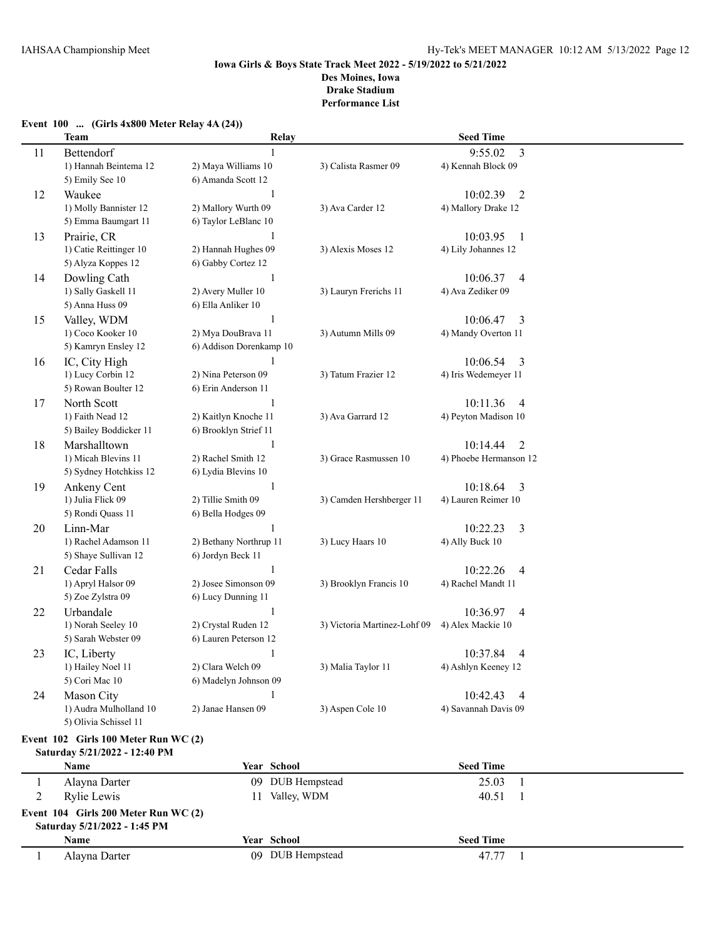|              | <b>Team</b>                          | Relay                   |                              | <b>Seed Time</b>           |  |
|--------------|--------------------------------------|-------------------------|------------------------------|----------------------------|--|
| 11           | Bettendorf                           | 1                       |                              | 9:55.02<br>3               |  |
|              | 1) Hannah Beintema 12                | 2) Maya Williams 10     | 3) Calista Rasmer 09         | 4) Kennah Block 09         |  |
|              | 5) Emily See 10                      | 6) Amanda Scott 12      |                              |                            |  |
| 12           | Waukee                               |                         |                              | 10:02.39<br>2              |  |
|              | 1) Molly Bannister 12                | 2) Mallory Wurth 09     | 3) Ava Carder 12             | 4) Mallory Drake 12        |  |
|              | 5) Emma Baumgart 11                  | 6) Taylor LeBlanc 10    |                              |                            |  |
| 13           | Prairie, CR                          |                         |                              | 10:03.95<br>-1             |  |
|              | 1) Catie Reittinger 10               | 2) Hannah Hughes 09     | 3) Alexis Moses 12           | 4) Lily Johannes 12        |  |
|              | 5) Alyza Koppes 12                   | 6) Gabby Cortez 12      |                              |                            |  |
| 14           | Dowling Cath                         | 1                       |                              | 10:06.37<br>$\overline{4}$ |  |
|              | 1) Sally Gaskell 11                  | 2) Avery Muller 10      | 3) Lauryn Frerichs 11        | 4) Ava Zediker 09          |  |
|              | 5) Anna Huss 09                      | 6) Ella Anliker 10      |                              |                            |  |
| 15           | Valley, WDM                          | 1                       |                              | 10:06.47<br>3              |  |
|              | 1) Coco Kooker 10                    | 2) Mya DouBrava 11      | 3) Autumn Mills 09           | 4) Mandy Overton 11        |  |
|              | 5) Kamryn Ensley 12                  | 6) Addison Dorenkamp 10 |                              |                            |  |
| 16           | IC, City High                        | 1                       |                              | 10:06.54<br>3              |  |
|              | 1) Lucy Corbin 12                    | 2) Nina Peterson 09     | 3) Tatum Frazier 12          | 4) Iris Wedemeyer 11       |  |
|              | 5) Rowan Boulter 12                  | 6) Erin Anderson 11     |                              |                            |  |
| 17           | North Scott                          | 1                       |                              | 10:11.36<br>4              |  |
|              | 1) Faith Nead 12                     | 2) Kaitlyn Knoche 11    | 3) Ava Garrard 12            | 4) Peyton Madison 10       |  |
|              | 5) Bailey Boddicker 11               | 6) Brooklyn Strief 11   |                              |                            |  |
| 18           | Marshalltown                         | 1                       |                              | 10:14.44<br>2              |  |
|              | 1) Micah Blevins 11                  | 2) Rachel Smith 12      | 3) Grace Rasmussen 10        | 4) Phoebe Hermanson 12     |  |
|              | 5) Sydney Hotchkiss 12               | 6) Lydia Blevins 10     |                              |                            |  |
| 19           | Ankeny Cent                          | 1                       |                              | 10:18.64<br>3              |  |
|              | 1) Julia Flick 09                    | 2) Tillie Smith 09      | 3) Camden Hershberger 11     | 4) Lauren Reimer 10        |  |
|              | 5) Rondi Quass 11                    | 6) Bella Hodges 09      |                              |                            |  |
| 20           | Linn-Mar                             |                         |                              | 3<br>10:22.23              |  |
|              | 1) Rachel Adamson 11                 | 2) Bethany Northrup 11  | 3) Lucy Haars 10             | 4) Ally Buck 10            |  |
|              | 5) Shaye Sullivan 12                 | 6) Jordyn Beck 11       |                              |                            |  |
| 21           | Cedar Falls                          |                         |                              | 10:22.26<br>4              |  |
|              | 1) Apryl Halsor 09                   | 2) Josee Simonson 09    | 3) Brooklyn Francis 10       | 4) Rachel Mandt 11         |  |
|              | 5) Zoe Zylstra 09                    | 6) Lucy Dunning 11      |                              |                            |  |
| 22           | Urbandale                            |                         |                              | 10:36.97<br>4              |  |
|              | 1) Norah Seeley 10                   | 2) Crystal Ruden 12     | 3) Victoria Martinez-Lohf 09 | 4) Alex Mackie 10          |  |
|              | 5) Sarah Webster 09                  | 6) Lauren Peterson 12   |                              |                            |  |
| 23           | IC, Liberty                          | 1                       |                              | 10:37.84<br>4              |  |
|              | 1) Hailey Noel 11                    | 2) Clara Welch 09       | 3) Malia Taylor 11           | 4) Ashlyn Keeney 12        |  |
|              | 5) Cori Mac 10                       | 6) Madelyn Johnson 09   |                              |                            |  |
| 24           | Mason City                           | 1                       |                              | 10:42.43<br>4              |  |
|              | 1) Audra Mulholland 10               | 2) Janae Hansen 09      | 3) Aspen Cole 10             | 4) Savannah Davis 09       |  |
|              | 5) Olivia Schissel 11                |                         |                              |                            |  |
|              | Event 102 Girls 100 Meter Run WC (2) |                         |                              |                            |  |
|              | Saturday 5/21/2022 - 12:40 PM        |                         |                              |                            |  |
|              | Name                                 | Year School             |                              | <b>Seed Time</b>           |  |
| 1            | Alayna Darter                        | 09 DUB Hempstead        |                              | 25.03<br>1                 |  |
| 2            | <b>Rylie Lewis</b>                   | Valley, WDM<br>11       |                              | 40.51<br>-1                |  |
|              | Event 104 Girls 200 Meter Run WC (2) |                         |                              |                            |  |
|              | Saturday 5/21/2022 - 1:45 PM         |                         |                              |                            |  |
|              | Name                                 | Year School             |                              | <b>Seed Time</b>           |  |
| $\mathbf{1}$ | Alayna Darter                        | 09 DUB Hempstead        |                              | 47.77<br>$\mathbf{1}$      |  |

# **Event 100 ... (Girls 4x800 Meter Relay 4A (24))**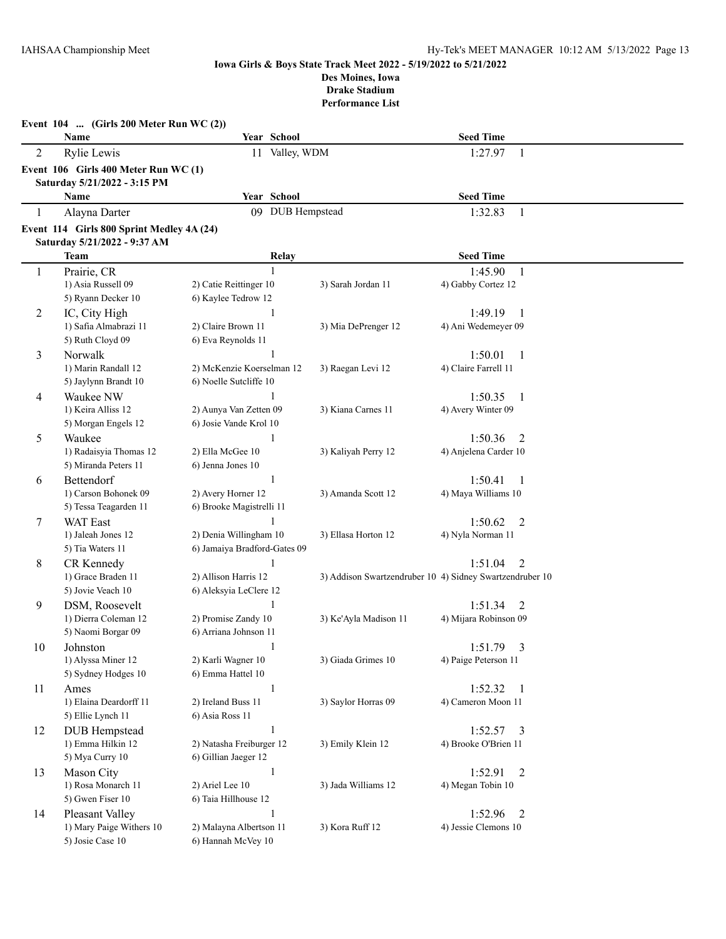|              | Event $104$ (Girls 200 Meter Run WC (2))                                  |                                               |                                                          |                                     |  |
|--------------|---------------------------------------------------------------------------|-----------------------------------------------|----------------------------------------------------------|-------------------------------------|--|
|              | Name                                                                      | Year School                                   |                                                          | <b>Seed Time</b>                    |  |
| 2            | <b>Rylie Lewis</b>                                                        | 11 Valley, WDM                                |                                                          | 1:27.97<br>1                        |  |
|              | Event 106 Girls 400 Meter Run WC (1)                                      |                                               |                                                          |                                     |  |
|              | Saturday 5/21/2022 - 3:15 PM<br>Name                                      | Year School                                   |                                                          | <b>Seed Time</b>                    |  |
| $\mathbf{1}$ |                                                                           | 09 DUB Hempstead                              |                                                          | 1:32.83                             |  |
|              | Alayna Darter                                                             |                                               |                                                          | $\mathbf{1}$                        |  |
|              | Event 114 Girls 800 Sprint Medley 4A (24)<br>Saturday 5/21/2022 - 9:37 AM |                                               |                                                          |                                     |  |
|              | <b>Team</b>                                                               | Relay                                         |                                                          | <b>Seed Time</b>                    |  |
| 1            | Prairie, CR                                                               | $\mathbf{1}$                                  |                                                          | 1:45.90<br>1                        |  |
|              | 1) Asia Russell 09                                                        | 2) Catie Reittinger 10                        | 3) Sarah Jordan 11                                       | 4) Gabby Cortez 12                  |  |
|              | 5) Ryann Decker 10                                                        | 6) Kaylee Tedrow 12                           |                                                          |                                     |  |
| 2            | IC, City High                                                             | $\mathbf{1}$                                  |                                                          | 1:49.19<br>-1                       |  |
|              | 1) Safia Almabrazi 11                                                     | 2) Claire Brown 11                            | 3) Mia DePrenger 12                                      | 4) Ani Wedemeyer 09                 |  |
|              | 5) Ruth Cloyd 09                                                          | 6) Eva Reynolds 11                            |                                                          |                                     |  |
| 3            | Norwalk                                                                   |                                               |                                                          | 1:50.01<br>1                        |  |
|              | 1) Marin Randall 12                                                       | 2) McKenzie Koerselman 12                     | 3) Raegan Levi 12                                        | 4) Claire Farrell 11                |  |
|              | 5) Jaylynn Brandt 10<br>Waukee NW                                         | 6) Noelle Sutcliffe 10                        |                                                          | 1:50.35                             |  |
| 4            | 1) Keira Alliss 12                                                        | 2) Aunya Van Zetten 09                        | 3) Kiana Carnes 11                                       | -1<br>4) Avery Winter 09            |  |
|              | 5) Morgan Engels 12                                                       | 6) Josie Vande Krol 10                        |                                                          |                                     |  |
| 5            | Waukee                                                                    |                                               |                                                          | 1:50.36<br>2                        |  |
|              | 1) Radaisyia Thomas 12                                                    | 2) Ella McGee 10                              | 3) Kaliyah Perry 12                                      | 4) Anjelena Carder 10               |  |
|              | 5) Miranda Peters 11                                                      | 6) Jenna Jones 10                             |                                                          |                                     |  |
| 6            | Bettendorf                                                                | 1                                             |                                                          | 1:50.41<br>1                        |  |
|              | 1) Carson Bohonek 09                                                      | 2) Avery Horner 12                            | 3) Amanda Scott 12                                       | 4) Maya Williams 10                 |  |
|              | 5) Tessa Teagarden 11                                                     | 6) Brooke Magistrelli 11                      |                                                          |                                     |  |
| 7            | <b>WAT East</b>                                                           |                                               |                                                          | 1:50.62<br>2                        |  |
|              | 1) Jaleah Jones 12                                                        | 2) Denia Willingham 10                        | 3) Ellasa Horton 12                                      | 4) Nyla Norman 11                   |  |
|              | 5) Tia Waters 11<br>CR Kennedy                                            | 6) Jamaiya Bradford-Gates 09                  |                                                          | $\overline{2}$<br>1:51.04           |  |
| 8            | 1) Grace Braden 11                                                        | 2) Allison Harris 12                          | 3) Addison Swartzendruber 10 4) Sidney Swartzendruber 10 |                                     |  |
|              | 5) Jovie Veach 10                                                         | 6) Aleksyia LeClere 12                        |                                                          |                                     |  |
| 9            | DSM, Roosevelt                                                            |                                               |                                                          | 1:51.34<br>2                        |  |
|              | 1) Dierra Coleman 12                                                      | 2) Promise Zandy 10                           | 3) Ke'Ayla Madison 11                                    | 4) Mijara Robinson 09               |  |
|              | 5) Naomi Borgar 09                                                        | 6) Arriana Johnson 11                         |                                                          |                                     |  |
| 10           | Johnston                                                                  |                                               |                                                          | 1:51.79<br>3                        |  |
|              | 1) Alyssa Miner 12                                                        | 2) Karli Wagner 10                            | 3) Giada Grimes 10                                       | 4) Paige Peterson 11                |  |
|              | 5) Sydney Hodges 10                                                       | 6) Emma Hattel 10                             |                                                          |                                     |  |
| 11           | Ames<br>1) Elaina Deardorff 11                                            | $\mathbf{1}$                                  |                                                          | 1:52.32<br>-1<br>4) Cameron Moon 11 |  |
|              | 5) Ellie Lynch 11                                                         | 2) Ireland Buss 11<br>6) Asia Ross 11         | 3) Saylor Horras 09                                      |                                     |  |
| 12           | <b>DUB</b> Hempstead                                                      | 1                                             |                                                          | 1:52.57<br>3                        |  |
|              | 1) Emma Hilkin 12                                                         | 2) Natasha Freiburger 12                      | 3) Emily Klein 12                                        | 4) Brooke O'Brien 11                |  |
|              | 5) Mya Curry 10                                                           | 6) Gillian Jaeger 12                          |                                                          |                                     |  |
| 13           | Mason City                                                                | 1                                             |                                                          | 2<br>1:52.91                        |  |
|              | 1) Rosa Monarch 11                                                        | 2) Ariel Lee 10                               | 3) Jada Williams 12                                      | 4) Megan Tobin 10                   |  |
|              | 5) Gwen Fiser 10                                                          | 6) Taia Hillhouse 12                          |                                                          |                                     |  |
| 14           | Pleasant Valley                                                           |                                               |                                                          | 1:52.96<br>2                        |  |
|              | 1) Mary Paige Withers 10<br>5) Josie Case 10                              | 2) Malayna Albertson 11<br>6) Hannah McVey 10 | 3) Kora Ruff 12                                          | 4) Jessie Clemons 10                |  |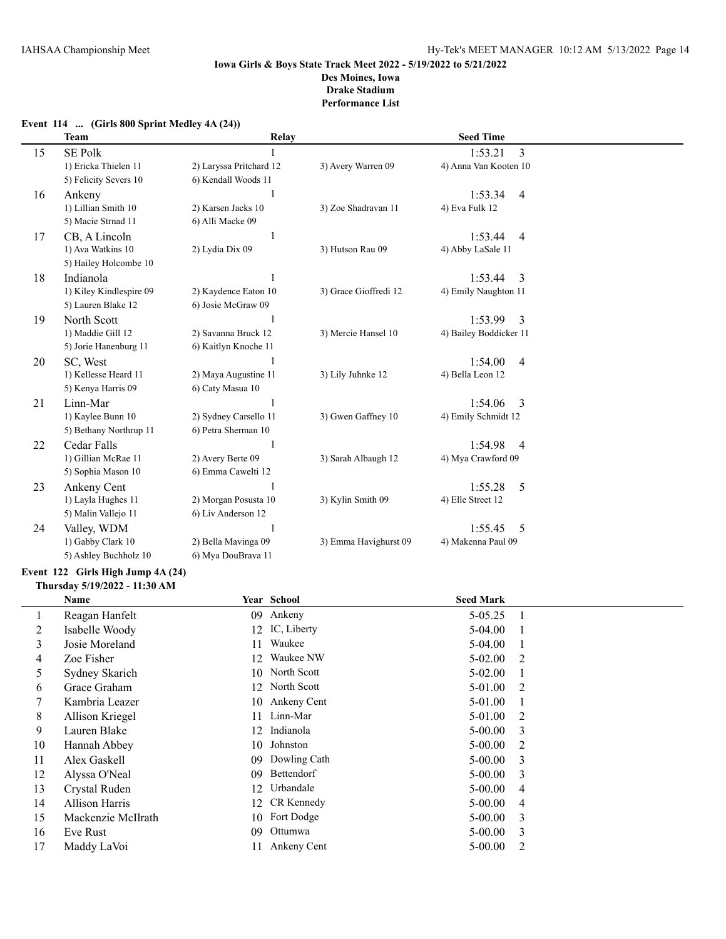|    | <b>Team</b>             | <b>Relay</b>            |                       | <b>Seed Time</b>          |  |
|----|-------------------------|-------------------------|-----------------------|---------------------------|--|
| 15 | <b>SE Polk</b>          |                         |                       | 1:53.21<br>3              |  |
|    | 1) Ericka Thielen 11    | 2) Laryssa Pritchard 12 | 3) Avery Warren 09    | 4) Anna Van Kooten 10     |  |
|    | 5) Felicity Severs 10   | 6) Kendall Woods 11     |                       |                           |  |
| 16 | Ankeny                  | 1                       |                       | 1:53.34<br>$\overline{4}$ |  |
|    | 1) Lillian Smith 10     | 2) Karsen Jacks 10      | 3) Zoe Shadravan 11   | 4) Eva Fulk 12            |  |
|    | 5) Macie Strnad 11      | 6) Alli Macke 09        |                       |                           |  |
| 17 | CB, A Lincoln           | 1                       |                       | 1:53.44<br>$\overline{4}$ |  |
|    | 1) Ava Watkins 10       | 2) Lydia Dix 09         | 3) Hutson Rau 09      | 4) Abby LaSale 11         |  |
|    | 5) Hailey Holcombe 10   |                         |                       |                           |  |
| 18 | Indianola               |                         |                       | 3<br>1:53.44              |  |
|    | 1) Kiley Kindlespire 09 | 2) Kaydence Eaton 10    | 3) Grace Gioffredi 12 | 4) Emily Naughton 11      |  |
|    | 5) Lauren Blake 12      | 6) Josie McGraw 09      |                       |                           |  |
| 19 | North Scott             |                         |                       | 3<br>1:53.99              |  |
|    | 1) Maddie Gill 12       | 2) Savanna Bruck 12     | 3) Mercie Hansel 10   | 4) Bailey Boddicker 11    |  |
|    | 5) Jorie Hanenburg 11   | 6) Kaitlyn Knoche 11    |                       |                           |  |
| 20 | SC, West                | 1                       |                       | 1:54.00<br>$\overline{4}$ |  |
|    | 1) Kellesse Heard 11    | 2) Maya Augustine 11    | 3) Lily Juhnke 12     | 4) Bella Leon 12          |  |
|    | 5) Kenya Harris 09      | 6) Caty Masua 10        |                       |                           |  |
| 21 | Linn-Mar                |                         |                       | 1:54.06<br>3              |  |
|    | 1) Kaylee Bunn 10       | 2) Sydney Carsello 11   | 3) Gwen Gaffney 10    | 4) Emily Schmidt 12       |  |
|    | 5) Bethany Northrup 11  | 6) Petra Sherman 10     |                       |                           |  |
| 22 | Cedar Falls             | 1                       |                       | 1:54.98<br>$\overline{4}$ |  |
|    | 1) Gillian McRae 11     | 2) Avery Berte 09       | 3) Sarah Albaugh 12   | 4) Mya Crawford 09        |  |
|    | 5) Sophia Mason 10      | 6) Emma Cawelti 12      |                       |                           |  |
| 23 | Ankeny Cent             |                         |                       | 1:55.28<br>5              |  |
|    | 1) Layla Hughes 11      | 2) Morgan Posusta 10    | 3) Kylin Smith 09     | 4) Elle Street 12         |  |
|    | 5) Malin Vallejo 11     | 6) Liv Anderson 12      |                       |                           |  |
| 24 | Valley, WDM             |                         |                       | 1:55.45<br>5              |  |
|    | 1) Gabby Clark 10       | 2) Bella Mavinga 09     | 3) Emma Havighurst 09 | 4) Makenna Paul 09        |  |
|    | 5) Ashley Buchholz 10   | 6) Mya DouBrava 11      |                       |                           |  |

### **Event 114 ... (Girls 800 Sprint Medley 4A (24))**

### **Event 122 Girls High Jump 4A (24) Thursday 5/19/2022 - 11:30 AM**

|    | Name                  |     | Year School    | <b>Seed Mark</b> |   |
|----|-----------------------|-----|----------------|------------------|---|
|    | Reagan Hanfelt        | 09  | Ankeny         | $5 - 05.25$      |   |
| 2  | Isabelle Woody        |     | 12 IC, Liberty | 5-04.00          |   |
| 3  | Josie Moreland        |     | Waukee         | 5-04.00          |   |
| 4  | Zoe Fisher            | 12. | Waukee NW      | $5 - 02.00$      | 2 |
| 5  | Sydney Skarich        |     | 10 North Scott | $5 - 02.00$      |   |
| 6  | Grace Graham          |     | 12 North Scott | 5-01.00          | 2 |
|    | Kambria Leazer        | 10  | Ankeny Cent    | 5-01.00          |   |
| 8  | Allison Kriegel       | 11  | Linn-Mar       | 5-01.00          | 2 |
| 9  | Lauren Blake          | 12  | Indianola      | $5 - 00.00$      | 3 |
| 10 | Hannah Abbey          | 10  | Johnston       | $5 - 00.00$      | 2 |
| 11 | Alex Gaskell          | 09  | Dowling Cath   | $5 - 00.00$      | 3 |
| 12 | Alyssa O'Neal         | 09  | Bettendorf     | $5 - 00.00$      | 3 |
| 13 | Crystal Ruden         | 12  | Urbandale      | $5 - 00.00$      | 4 |
| 14 | <b>Allison Harris</b> |     | 12 CR Kennedy  | $5 - 00.00$      | 4 |
| 15 | Mackenzie McIlrath    |     | 10 Fort Dodge  | $5 - 00.00$      | 3 |
| 16 | Eve Rust              | 09  | Ottumwa        | $5 - 00.00$      | 3 |
| 17 | Maddy LaVoi           |     | Ankeny Cent    | $5 - 00.00$      | 2 |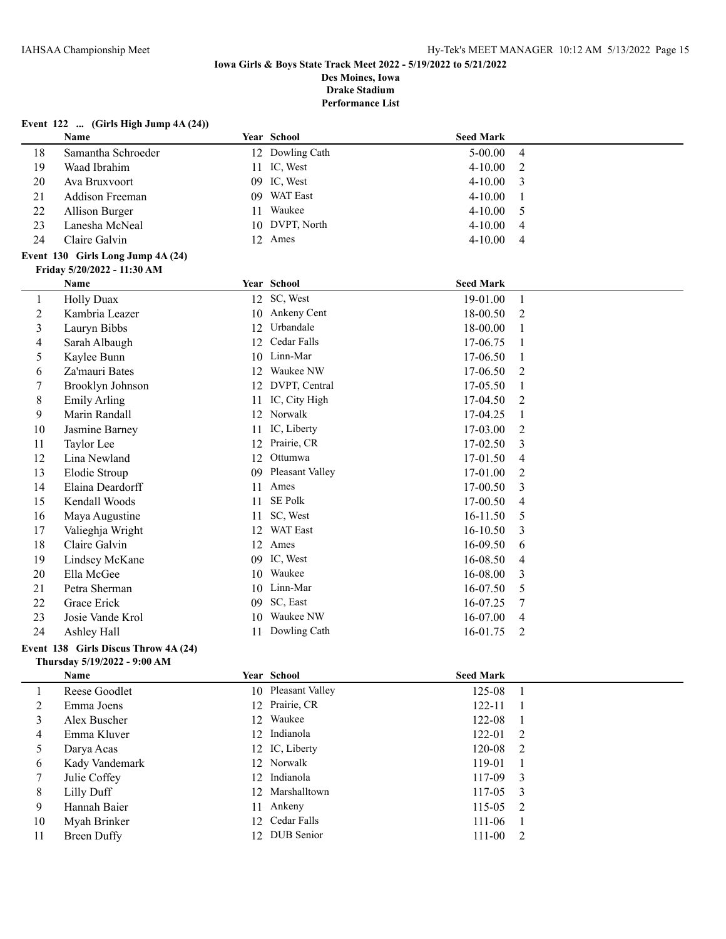# **Event 122 ... (Girls High Jump 4A (24))**

|                | Name                              |    | Year School      | <b>Seed Mark</b> |                |
|----------------|-----------------------------------|----|------------------|------------------|----------------|
| 18             | Samantha Schroeder                |    | 12 Dowling Cath  | $5 - 00.00$      | $\overline{4}$ |
| 19             | Waad Ibrahim                      | 11 | IC, West         | 4-10.00          | 2              |
| 20             | Ava Bruxvoort                     |    | 09 IC, West      | $4 - 10.00$      | 3              |
| 21             | Addison Freeman                   | 09 | <b>WAT East</b>  | 4-10.00          | 1              |
| 22             | Allison Burger                    | 11 | Waukee           | $4 - 10.00$      | 5              |
| 23             | Lanesha McNeal                    | 10 | DVPT, North      | $4 - 10.00$      | 4              |
| 24             | Claire Galvin                     |    | 12 Ames          | $4 - 10.00$      | 4              |
|                | Event 130 Girls Long Jump 4A (24) |    |                  |                  |                |
|                | Friday 5/20/2022 - 11:30 AM       |    |                  |                  |                |
|                | Name                              |    | Year School      | <b>Seed Mark</b> |                |
| 1              | <b>Holly Duax</b>                 |    | 12 SC, West      | 19-01.00         | 1              |
| $\overline{c}$ | Kambria Leazer                    | 10 | Ankeny Cent      | 18-00.50         | 2              |
| 3              | Lauryn Bibbs                      |    | 12 Urbandale     | 18-00.00         | 1              |
| 4              | Sarah Albaugh                     |    | 12 Cedar Falls   | 17-06.75         |                |
| 5              | Kaylee Bunn                       | 10 | Linn-Mar         | 17-06.50         | 1              |
| 6              | Za'mauri Bates                    | 12 | Waukee NW        | 17-06.50         | 2              |
| 7              | Brooklyn Johnson                  |    | 12 DVPT, Central | 17-05.50         | 1              |
| 8              | <b>Emily Arling</b>               | 11 | IC, City High    | 17-04.50         | 2              |
| 9              | Marin Randall                     | 12 | Norwalk          | 17-04.25         | -1             |
| $10\,$         | Jasmine Barney                    | 11 | IC, Liberty      | 17-03.00         | 2              |
| 11             | Taylor Lee                        | 12 | Prairie, CR      | 17-02.50         | 3              |
| 12             | Lina Newland                      | 12 | Ottumwa          | 17-01.50         | 4              |
| 13             | Elodie Stroup                     | 09 | Pleasant Valley  | 17-01.00         | 2              |
| 14             | Elaina Deardorff                  | 11 | Ames             | 17-00.50         | 3              |
| 15             | Kendall Woods                     | 11 | SE Polk          | 17-00.50         | $\overline{4}$ |
| 16             | Maya Augustine                    | 11 | SC, West         | 16-11.50         | 5              |
| 17             | Valieghja Wright                  | 12 | WAT East         | 16-10.50         | 3              |
| 18             | Claire Galvin                     | 12 | Ames             | 16-09.50         | 6              |
| 19             | Lindsey McKane                    | 09 | IC, West         | 16-08.50         | 4              |
| 20             | Ella McGee                        |    | 10 Waukee        | 16-08.00         | 3              |
| 21             | Petra Sherman                     |    | 10 Linn-Mar      | 16-07.50         | 5              |
| 22             | Grace Erick                       | 09 | SC, East         | 16-07.25         | 7              |
| 23             | Josie Vande Krol                  | 10 | Waukee NW        | 16-07.00         | 4              |
| 24             | Ashley Hall                       |    | 11 Dowling Cath  | 16-01.75         | 2              |

### **Event 138 Girls Discus Throw 4A (24) Thursday 5/19/2022 - 9:00 AM**

L.

|    | Name           | Year School        | <b>Seed Mark</b> |                |
|----|----------------|--------------------|------------------|----------------|
|    | Reese Goodlet  | 10 Pleasant Valley | 125-08           |                |
|    | Emma Joens     | 12 Prairie, CR     | 122-11           | $\blacksquare$ |
| 3  | Alex Buscher   | 12 Waukee          | 122-08           | - 1            |
| 4  | Emma Kluver    | 12 Indianola       | $122 - 01$ 2     |                |
| 5  | Darya Acas     | 12 IC, Liberty     | $120-08$ 2       |                |
| 6  | Kady Vandemark | 12 Norwalk         | 119-01           |                |
|    | Julie Coffey   | 12 Indianola       | $117-09$ 3       |                |
| 8  | Lilly Duff     | 12 Marshalltown    | $117-05$ 3       |                |
| 9  | Hannah Baier   | 11 Ankeny          | $115-05$ 2       |                |
| 10 | Myah Brinker   | 12 Cedar Falls     | 111-06           |                |
| 11 | Breen Duffy    | 12 DUB Senior      | $111-00$ 2       |                |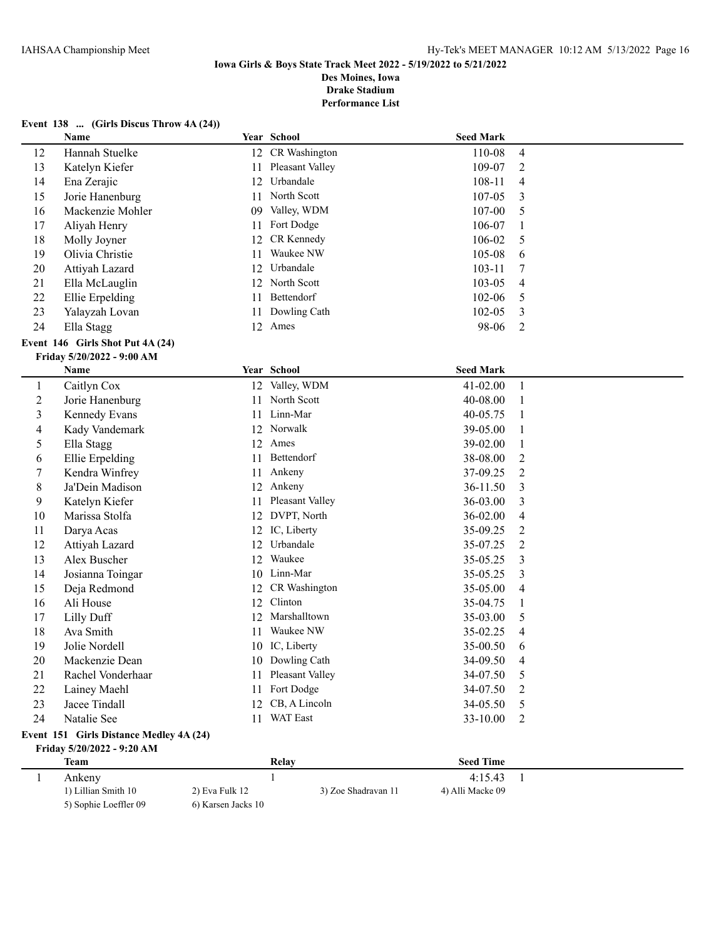# **Iowa Girls & Boys State Track Meet 2022 - 5/19/2022 to 5/21/2022 Des Moines, Iowa**

**Drake Stadium**

**Performance List**

# **Event 138 ... (Girls Discus Throw 4A (24))**

|                                         | Name                             |                    | Year School         | <b>Seed Mark</b> |              |  |
|-----------------------------------------|----------------------------------|--------------------|---------------------|------------------|--------------|--|
| 12                                      | Hannah Stuelke                   |                    | 12 CR Washington    | 110-08           | 4            |  |
| 13                                      | Katelyn Kiefer                   | 11                 | Pleasant Valley     | 109-07           | 2            |  |
| 14                                      | Ena Zerajic                      | 12                 | Urbandale           | 108-11           | 4            |  |
| 15                                      | Jorie Hanenburg                  | 11                 | North Scott         | 107-05           | 3            |  |
| 16                                      | Mackenzie Mohler                 | 09                 | Valley, WDM         | 107-00           | 5            |  |
| 17                                      | Aliyah Henry                     | 11                 | Fort Dodge          | 106-07           | 1            |  |
| 18                                      | Molly Joyner                     | 12                 | CR Kennedy          | 106-02           | 5            |  |
| 19                                      | Olivia Christie                  | 11                 | Waukee NW           | 105-08           | 6            |  |
| 20                                      | Attiyah Lazard                   | 12                 | Urbandale           | 103-11           | 7            |  |
| 21                                      | Ella McLauglin                   | 12                 | North Scott         | 103-05           | 4            |  |
| 22                                      | Ellie Erpelding                  | 11                 | Bettendorf          | 102-06           | 5            |  |
| 23                                      | Yalayzah Lovan                   | 11                 | Dowling Cath        | 102-05           | 3            |  |
| 24                                      | Ella Stagg                       |                    | 12 Ames             | 98-06            | 2            |  |
|                                         | Event 146 Girls Shot Put 4A (24) |                    |                     |                  |              |  |
|                                         | Friday 5/20/2022 - 9:00 AM       |                    |                     |                  |              |  |
|                                         | Name                             |                    | Year School         | <b>Seed Mark</b> |              |  |
| $\mathbf{1}$                            | Caitlyn Cox                      |                    | 12 Valley, WDM      | 41-02.00         | 1            |  |
| $\overline{c}$                          | Jorie Hanenburg                  | 11                 | North Scott         | 40-08.00         | 1            |  |
| 3                                       | Kennedy Evans                    |                    | 11 Linn-Mar         | 40-05.75         | 1            |  |
| 4                                       | Kady Vandemark                   |                    | 12 Norwalk          | 39-05.00         | 1            |  |
| 5                                       | Ella Stagg                       |                    | 12 Ames             | 39-02.00         | 1            |  |
| 6                                       | Ellie Erpelding                  |                    | 11 Bettendorf       | 38-08.00         | 2            |  |
| 7                                       | Kendra Winfrey                   |                    | 11 Ankeny           | 37-09.25         | 2            |  |
| 8                                       | Ja'Dein Madison                  |                    | 12 Ankeny           | 36-11.50         | 3            |  |
| 9                                       | Katelyn Kiefer                   | 11                 | Pleasant Valley     | 36-03.00         | 3            |  |
| 10                                      | Marissa Stolfa                   |                    | 12 DVPT, North      | 36-02.00         | 4            |  |
| 11                                      | Darya Acas                       |                    | 12 IC, Liberty      | 35-09.25         | 2            |  |
| 12                                      | Attiyah Lazard                   | 12                 | Urbandale           | 35-07.25         | 2            |  |
| 13                                      | Alex Buscher                     | 12                 | Waukee              | 35-05.25         | 3            |  |
| 14                                      | Josianna Toingar                 |                    | 10 Linn-Mar         | 35-05.25         | 3            |  |
| 15                                      | Deja Redmond                     | 12                 | CR Washington       | 35-05.00         | 4            |  |
| 16                                      | Ali House                        | 12                 | Clinton             | 35-04.75         | 1            |  |
| 17                                      | Lilly Duff                       | 12                 | Marshalltown        | 35-03.00         | 5            |  |
| 18                                      | Ava Smith                        | 11                 | Waukee NW           | 35-02.25         | 4            |  |
| 19                                      | Jolie Nordell                    |                    | 10 IC, Liberty      | 35-00.50         | 6            |  |
| 20                                      | Mackenzie Dean                   |                    | 10 Dowling Cath     | 34-09.50         | 4            |  |
| 21                                      | Rachel Vonderhaar                |                    | 11 Pleasant Valley  | 34-07.50         | 5            |  |
| 22                                      | Lainey Maehl                     | 11                 | Fort Dodge          | 34-07.50         | 2            |  |
| 23                                      | Jacee Tindall                    | 12                 | CB, A Lincoln       | 34-05.50         | 5            |  |
| 24                                      | Natalie See                      |                    | 11 WAT East         | 33-10.00         | 2            |  |
| Event 151 Girls Distance Medley 4A (24) |                                  |                    |                     |                  |              |  |
| Friday 5/20/2022 - 9:20 AM              |                                  |                    |                     |                  |              |  |
|                                         | <b>Team</b>                      |                    | Relay               | <b>Seed Time</b> |              |  |
| $\mathbf{1}$                            | Ankeny                           |                    | $\mathbf{1}$        | 4:15.43          | $\mathbf{1}$ |  |
|                                         | 1) Lillian Smith 10              | 2) Eva Fulk 12     | 3) Zoe Shadravan 11 | 4) Alli Macke 09 |              |  |
|                                         | 5) Sophie Loeffler 09            | 6) Karsen Jacks 10 |                     |                  |              |  |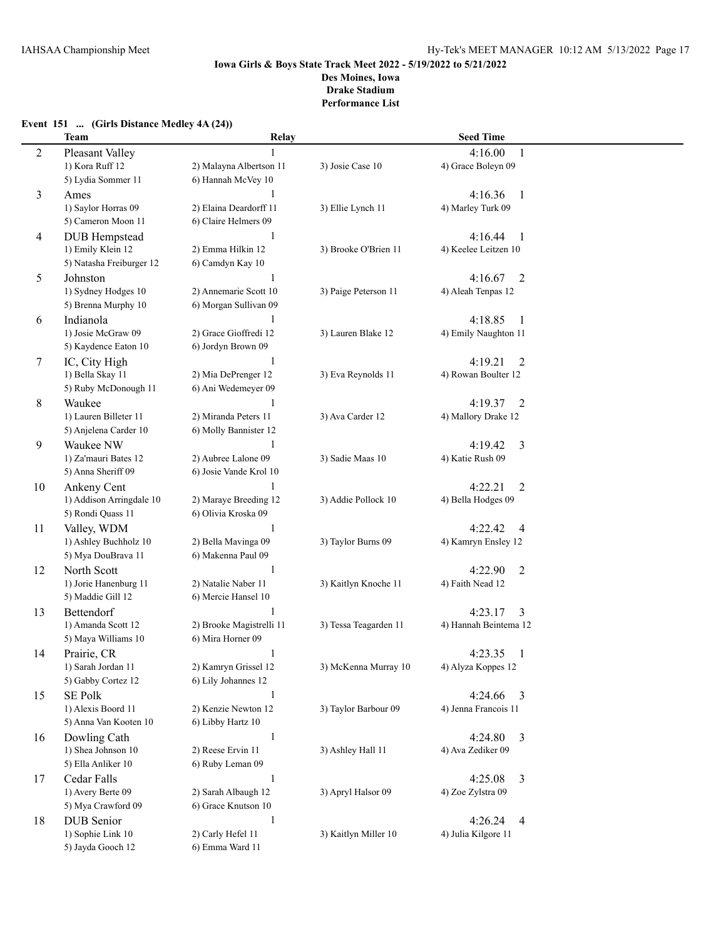### **Event 151 ... (Girls Distance Medley 4A (24))**

|                | Team                                 | Relay                    |                       | <b>Seed Time</b>                    |  |
|----------------|--------------------------------------|--------------------------|-----------------------|-------------------------------------|--|
| $\overline{c}$ | Pleasant Valley                      |                          |                       | 4:16.00<br>1                        |  |
|                | 1) Kora Ruff 12                      | 2) Malayna Albertson 11  | 3) Josie Case 10      | 4) Grace Boleyn 09                  |  |
|                | 5) Lydia Sommer 11                   | 6) Hannah McVey 10       |                       |                                     |  |
| 3              | Ames                                 |                          |                       | 4:16.36<br>$\overline{1}$           |  |
|                | 1) Saylor Horras 09                  | 2) Elaina Deardorff 11   | 3) Ellie Lynch 11     | 4) Marley Turk 09                   |  |
|                | 5) Cameron Moon 11                   | 6) Claire Helmers 09     |                       |                                     |  |
| 4              | <b>DUB</b> Hempstead                 | $\mathbf{1}$             |                       | 4:16.44<br>-1                       |  |
|                | 1) Emily Klein 12                    | 2) Emma Hilkin 12        | 3) Brooke O'Brien 11  | 4) Keelee Leitzen 10                |  |
|                | 5) Natasha Freiburger 12             | 6) Camdyn Kay 10         |                       |                                     |  |
| 5              | Johnston                             | 1                        |                       | 4:16.67<br>2                        |  |
|                | 1) Sydney Hodges 10                  | 2) Annemarie Scott 10    | 3) Paige Peterson 11  | 4) Aleah Tenpas 12                  |  |
|                | 5) Brenna Murphy 10                  | 6) Morgan Sullivan 09    |                       |                                     |  |
| 6              | Indianola                            | 1                        |                       | 4:18.85<br>- 1                      |  |
|                | 1) Josie McGraw 09                   | 2) Grace Gioffredi 12    | 3) Lauren Blake 12    | 4) Emily Naughton 11                |  |
|                | 5) Kaydence Eaton 10                 | 6) Jordyn Brown 09       |                       |                                     |  |
| 7              | IC, City High                        | 1                        |                       | 4:19.21<br>2                        |  |
|                | 1) Bella Skay 11                     | 2) Mia DePrenger 12      | 3) Eva Reynolds 11    | 4) Rowan Boulter 12                 |  |
|                | 5) Ruby McDonough 11                 | 6) Ani Wedemeyer 09      |                       |                                     |  |
| 8              | Waukee                               |                          |                       | 4:19.37<br>2                        |  |
|                | 1) Lauren Billeter 11                | 2) Miranda Peters 11     | 3) Ava Carder 12      | 4) Mallory Drake 12                 |  |
|                | 5) Anjelena Carder 10                | 6) Molly Bannister 12    |                       |                                     |  |
| 9              | Waukee NW                            |                          |                       | 4:19.42<br>3                        |  |
|                | 1) Za'mauri Bates 12                 | 2) Aubree Lalone 09      | 3) Sadie Maas 10      | 4) Katie Rush 09                    |  |
|                | 5) Anna Sheriff 09                   | 6) Josie Vande Krol 10   |                       |                                     |  |
| 10             | Ankeny Cent                          |                          |                       | 4:22.21<br>$\overline{2}$           |  |
|                | 1) Addison Arringdale 10             | 2) Maraye Breeding 12    | 3) Addie Pollock 10   | 4) Bella Hodges 09                  |  |
|                | 5) Rondi Quass 11                    | 6) Olivia Kroska 09      |                       |                                     |  |
| 11             | Valley, WDM<br>1) Ashley Buchholz 10 | 1<br>2) Bella Mavinga 09 | 3) Taylor Burns 09    | 4:22.42<br>4<br>4) Kamryn Ensley 12 |  |
|                | 5) Mya DouBrava 11                   | 6) Makenna Paul 09       |                       |                                     |  |
| 12             | North Scott                          | $\mathbf{1}$             |                       | 4:22.90<br>2                        |  |
|                | 1) Jorie Hanenburg 11                | 2) Natalie Naber 11      | 3) Kaitlyn Knoche 11  | 4) Faith Nead 12                    |  |
|                | 5) Maddie Gill 12                    | 6) Mercie Hansel 10      |                       |                                     |  |
| 13             | Bettendorf                           |                          |                       | 4:23.17<br>3                        |  |
|                | 1) Amanda Scott 12                   | 2) Brooke Magistrelli 11 | 3) Tessa Teagarden 11 | 4) Hannah Beintema 12               |  |
|                | 5) Maya Williams 10                  | 6) Mira Horner 09        |                       |                                     |  |
| 14             | Prairie, CR                          | $\mathbf{1}$             |                       | 4:23.35<br>1                        |  |
|                | 1) Sarah Jordan 11                   | 2) Kamryn Grissel 12     | 3) McKenna Murray 10  | 4) Alyza Koppes 12                  |  |
|                | 5) Gabby Cortez 12                   | 6) Lily Johannes 12      |                       |                                     |  |
| 15             | <b>SE Polk</b>                       | $\mathbf{1}$             |                       | 4:24.66<br>$\overline{3}$           |  |
|                | 1) Alexis Boord 11                   | 2) Kenzie Newton 12      | 3) Taylor Barbour 09  | 4) Jenna Francois 11                |  |
|                | 5) Anna Van Kooten 10                | 6) Libby Hartz 10        |                       |                                     |  |
| 16             | Dowling Cath                         | $\mathbf{1}$             |                       | 4:24.80<br>3                        |  |
|                | 1) Shea Johnson 10                   | 2) Reese Ervin 11        | 3) Ashley Hall 11     | 4) Ava Zediker 09                   |  |
|                | 5) Ella Anliker 10                   | 6) Ruby Leman 09         |                       |                                     |  |
| 17             | Cedar Falls                          | $\mathbf{1}$             |                       | 4:25.08<br>3                        |  |
|                | 1) Avery Berte 09                    | 2) Sarah Albaugh 12      | 3) Apryl Halsor 09    | 4) Zoe Zylstra 09                   |  |
|                | 5) Mya Crawford 09                   | 6) Grace Knutson 10      |                       |                                     |  |
| 18             | <b>DUB</b> Senior                    | $\mathbf{1}$             |                       | 4:26.24<br>$\overline{4}$           |  |
|                | 1) Sophie Link 10                    | 2) Carly Hefel 11        | 3) Kaitlyn Miller 10  | 4) Julia Kilgore 11                 |  |
|                | 5) Jayda Gooch 12                    | 6) Emma Ward 11          |                       |                                     |  |